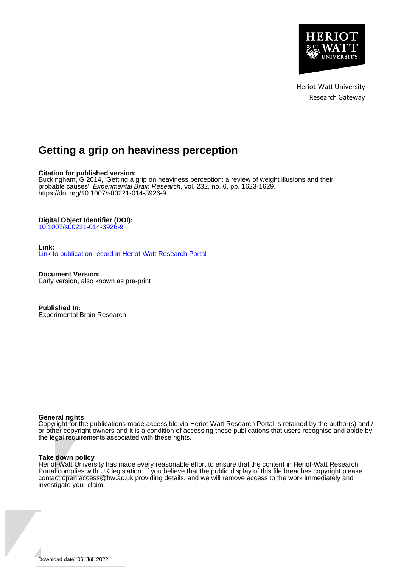

Heriot-Watt University Research Gateway

# **Getting a grip on heaviness perception**

# **Citation for published version:**

Buckingham, G 2014, 'Getting a grip on heaviness perception: a review of weight illusions and their probable causes', *Experimental Brain Research*, vol. 232, no. 6, pp. 1623-1629. <https://doi.org/10.1007/s00221-014-3926-9>

# **Digital Object Identifier (DOI):**

[10.1007/s00221-014-3926-9](https://doi.org/10.1007/s00221-014-3926-9)

#### **Link:**

[Link to publication record in Heriot-Watt Research Portal](https://researchportal.hw.ac.uk/en/publications/51de3844-fc4a-4a1f-8943-569fd0d0ae04)

**Document Version:** Early version, also known as pre-print

**Published In:** Experimental Brain Research

#### **General rights**

Copyright for the publications made accessible via Heriot-Watt Research Portal is retained by the author(s) and / or other copyright owners and it is a condition of accessing these publications that users recognise and abide by the legal requirements associated with these rights.

#### **Take down policy**

Heriot-Watt University has made every reasonable effort to ensure that the content in Heriot-Watt Research Portal complies with UK legislation. If you believe that the public display of this file breaches copyright please contact open.access@hw.ac.uk providing details, and we will remove access to the work immediately and investigate your claim.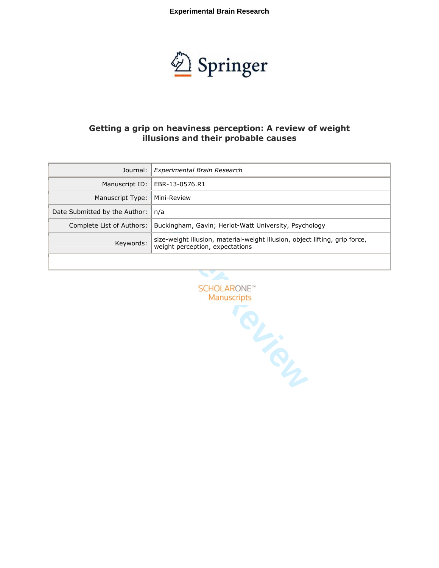**Experimental Brain Research**



# **Getting a grip on heaviness perception: A review of weight illusions and their probable causes**

| Journal:                      | Experimental Brain Research                                                                                    |
|-------------------------------|----------------------------------------------------------------------------------------------------------------|
|                               | Manuscript ID:   EBR-13-0576.R1                                                                                |
| Manuscript Type:              | Mini-Review                                                                                                    |
| Date Submitted by the Author: | n/a                                                                                                            |
| Complete List of Authors:     | Buckingham, Gavin; Heriot-Watt University, Psychology                                                          |
| Keywords:                     | size-weight illusion, material-weight illusion, object lifting, grip force,<br>weight perception, expectations |
|                               |                                                                                                                |

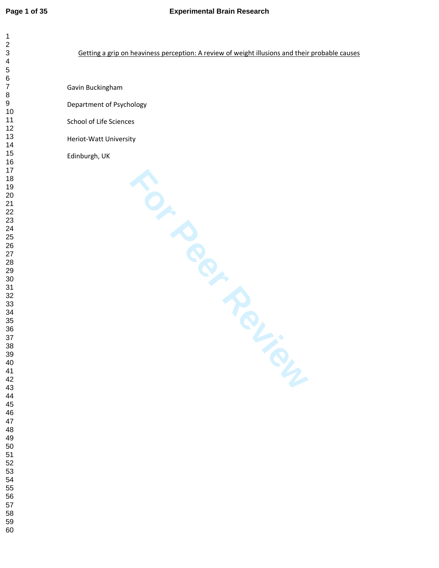$\mathbf{1}$  $\overline{2}$ 

# Getting a grip on heaviness perception: A review of weight illusions and their probable causes

Gavin Buckingham

Department of Psychology

School of Life Sciences

Heriot-Watt University

Edinburgh, UK

**For Periety**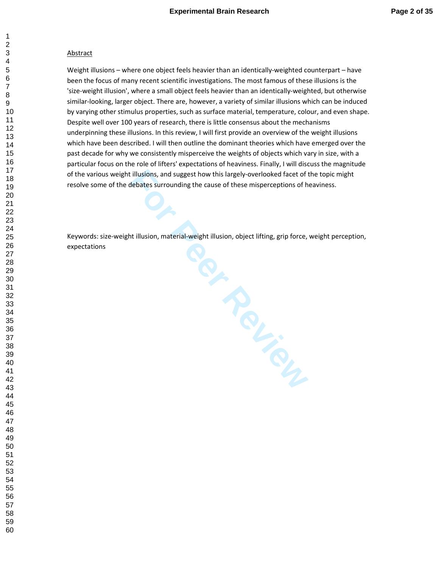#### Abstract

Weight illusions – where one object feels heavier than an identically-weighted counterpart – have been the focus of many recent scientific investigations. The most famous of these illusions is the 'size-weight illusion', where a small object feels heavier than an identically-weighted, but otherwise similar-looking, larger object. There are, however, a variety of similar illusions which can be induced by varying other stimulus properties, such as surface material, temperature, colour, and even shape. Despite well over 100 years of research, there is little consensus about the mechanisms underpinning these illusions. In this review, I will first provide an overview of the weight illusions which have been described. I will then outline the dominant theories which have emerged over the past decade for why we consistently misperceive the weights of objects which vary in size, with a particular focus on the role of lifters' expectations of heaviness. Finally, I will discuss the magnitude of the various weight illusions, and suggest how this largely-overlooked facet of the topic might resolve some of the debates surrounding the cause of these misperceptions of heaviness.

Keywords: size-weight illusion, material-weight illusion, object lifting, grip force, weight perception, expectations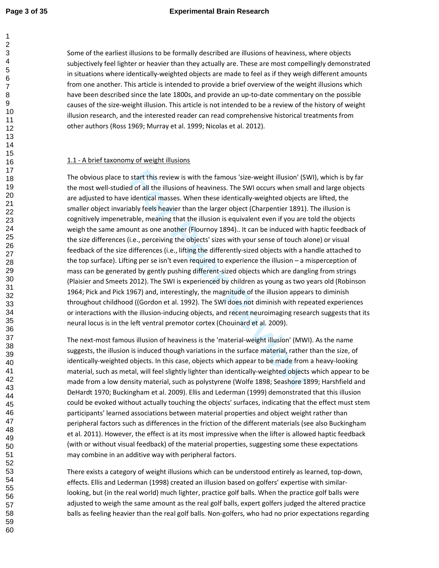$\mathbf{1}$ 

# **Page 3 of 35 Experimental Brain Research**

Some of the earliest illusions to be formally described are illusions of heaviness, where objects subjectively feel lighter or heavier than they actually are. These are most compellingly demonstrated in situations where identically-weighted objects are made to feel as if they weigh different amounts from one another. This article is intended to provide a brief overview of the weight illusions which have been described since the late 1800s, and provide an up-to-date commentary on the possible causes of the size-weight illusion. This article is not intended to be a review of the history of weight illusion research, and the interested reader can read comprehensive historical treatments from other authors (Ross 1969; Murray et al. 1999; Nicolas et al. 2012).

## 1.1 - A brief taxonomy of weight illusions

start this review is with the famous 'size-weight illusion' (SV<br>of of all the illusions of heaviness. The SWI occurs when smal<br>identical masses. When these identically-weighted objects as<br>bly feels heavier than the larger The obvious place to start this review is with the famous 'size-weight illusion' (SWI), which is by far the most well-studied of all the illusions of heaviness. The SWI occurs when small and large objects are adjusted to have identical masses. When these identically-weighted objects are lifted, the smaller object invariably feels heavier than the larger object (Charpentier 1891). The illusion is cognitively impenetrable, meaning that the illusion is equivalent even if you are told the objects weigh the same amount as one another (Flournoy 1894).. It can be induced with haptic feedback of the size differences (i.e., perceiving the objects' sizes with your sense of touch alone) or visual feedback of the size differences (i.e., lifting the differently-sized objects with a handle attached to the top surface). Lifting per se isn't even required to experience the illusion – a misperception of mass can be generated by gently pushing different-sized objects which are dangling from strings (Plaisier and Smeets 2012). The SWI is experienced by children as young as two years old (Robinson 1964; Pick and Pick 1967) and, interestingly, the magnitude of the illusion appears to diminish throughout childhood ((Gordon et al. 1992). The SWI does not diminish with repeated experiences or interactions with the illusion-inducing objects, and recent neuroimaging research suggests that its neural locus is in the left ventral premotor cortex (Chouinard et al. 2009).

The next-most famous illusion of heaviness is the 'material-weight illusion' (MWI). As the name suggests, the illusion is induced though variations in the surface material, rather than the size, of identically-weighted objects. In this case, objects which appear to be made from a heavy-looking material, such as metal, will feel slightly lighter than identically-weighted objects which appear to be made from a low density material, such as polystyrene (Wolfe 1898; Seashore 1899; Harshfield and DeHardt 1970; Buckingham et al. 2009). Ellis and Lederman (1999) demonstrated that this illusion could be evoked without actually touching the objects' surfaces, indicating that the effect must stem participants' learned associations between material properties and object weight rather than peripheral factors such as differences in the friction of the different materials (see also Buckingham et al. 2011). However, the effect is at its most impressive when the lifter is allowed haptic feedback (with or without visual feedback) of the material properties, suggesting some these expectations may combine in an additive way with peripheral factors.

There exists a category of weight illusions which can be understood entirely as learned, top-down, effects. Ellis and Lederman (1998) created an illusion based on golfers' expertise with similarlooking, but (in the real world) much lighter, practice golf balls. When the practice golf balls were adjusted to weigh the same amount as the real golf balls, expert golfers judged the altered practice balls as feeling heavier than the real golf balls. Non-golfers, who had no prior expectations regarding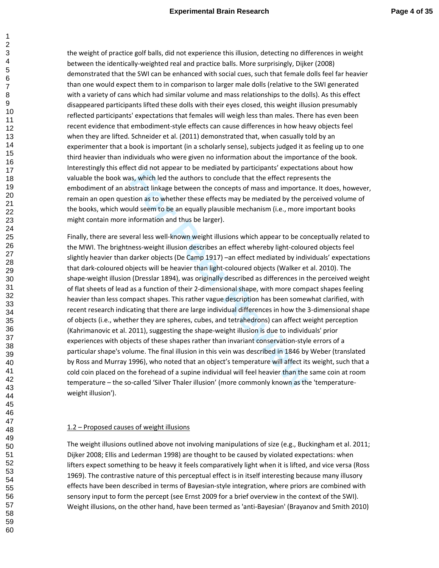the weight of practice golf balls, did not experience this illusion, detecting no differences in weight between the identically-weighted real and practice balls. More surprisingly, Dijker (2008) demonstrated that the SWI can be enhanced with social cues, such that female dolls feel far heavier than one would expect them to in comparison to larger male dolls (relative to the SWI generated with a variety of cans which had similar volume and mass relationships to the dolls). As this effect disappeared participants lifted these dolls with their eyes closed, this weight illusion presumably reflected participants' expectations that females will weigh less than males. There has even been recent evidence that embodiment-style effects can cause differences in how heavy objects feel when they are lifted. Schneider et al. (2011) demonstrated that, when casually told by an experimenter that a book is important (in a scholarly sense), subjects judged it as feeling up to one third heavier than individuals who were given no information about the importance of the book. Interestingly this effect did not appear to be mediated by participants' expectations about how valuable the book was, which led the authors to conclude that the effect represents the embodiment of an abstract linkage between the concepts of mass and importance. It does, however, remain an open question as to whether these effects may be mediated by the perceived volume of the books, which would seem to be an equally plausible mechanism (i.e., more important books might contain more information and thus be larger).

External more the metallation of the metallation of the control of the creation of the creation of the authors to conclude that the effect represes by the led the authors to conclude that the effect represes bostract linka Finally, there are several less well-known weight illusions which appear to be conceptually related to the MWI. The brightness-weight illusion describes an effect whereby light-coloured objects feel slightly heavier than darker objects (De Camp 1917) –an effect mediated by individuals' expectations that dark-coloured objects will be heavier than light-coloured objects (Walker et al. 2010). The shape-weight illusion (Dresslar 1894), was originally described as differences in the perceived weight of flat sheets of lead as a function of their 2-dimensional shape, with more compact shapes feeling heavier than less compact shapes. This rather vague description has been somewhat clarified, with recent research indicating that there are large individual differences in how the 3-dimensional shape of objects (i.e., whether they are spheres, cubes, and tetrahedrons) can affect weight perception (Kahrimanovic et al. 2011), suggesting the shape-weight illusion is due to individuals' prior experiences with objects of these shapes rather than invariant conservation-style errors of a particular shape's volume. The final illusion in this vein was described in 1846 by Weber (translated by Ross and Murray 1996), who noted that an object's temperature will affect its weight, such that a cold coin placed on the forehead of a supine individual will feel heavier than the same coin at room temperature – the so-called 'Silver Thaler illusion' (more commonly known as the 'temperatureweight illusion').

#### 1.2 – Proposed causes of weight illusions

The weight illusions outlined above not involving manipulations of size (e.g., Buckingham et al. 2011; Dijker 2008; Ellis and Lederman 1998) are thought to be caused by violated expectations: when lifters expect something to be heavy it feels comparatively light when it is lifted, and vice versa (Ross 1969). The contrastive nature of this perceptual effect is in itself interesting because many illusory effects have been described in terms of Bayesian-style integration, where priors are combined with sensory input to form the percept (see Ernst 2009 for a brief overview in the context of the SWI). Weight illusions, on the other hand, have been termed as 'anti-Bayesian' (Brayanov and Smith 2010)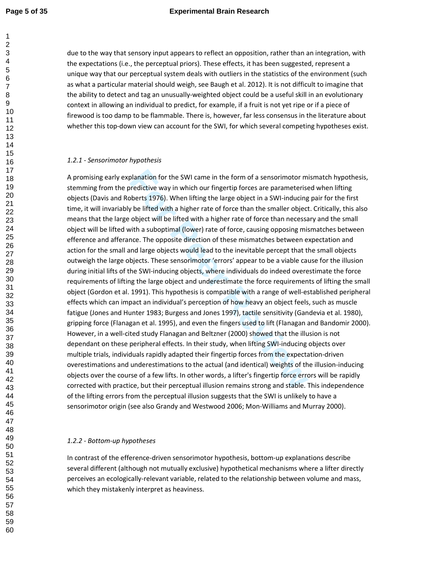$\mathbf 1$ 

# **Page 5 of 35 Experimental Brain Research**

due to the way that sensory input appears to reflect an opposition, rather than an integration, with the expectations (i.e., the perceptual priors). These effects, it has been suggested, represent a unique way that our perceptual system deals with outliers in the statistics of the environment (such as what a particular material should weigh, see Baugh et al. 2012). It is not difficult to imagine that the ability to detect and tag an unusually-weighted object could be a useful skill in an evolutionary context in allowing an individual to predict, for example, if a fruit is not yet ripe or if a piece of firewood is too damp to be flammable. There is, however, far less consensus in the literature about whether this top-down view can account for the SWI, for which several competing hypotheses exist.

#### *1.2.1 - Sensorimotor hypothesis*

blanation for the SWI came in the form of a sensorimotor m<br>redictive way in which our fingertip forces are parameterise<br>bberts 1976). When lifting the large object in a SWI-inducing<br>y be lifted with a higher rate of force A promising early explanation for the SWI came in the form of a sensorimotor mismatch hypothesis, stemming from the predictive way in which our fingertip forces are parameterised when lifting objects (Davis and Roberts 1976). When lifting the large object in a SWI-inducing pair for the first time, it will invariably be lifted with a higher rate of force than the smaller object. Critically, this also means that the large object will be lifted with a higher rate of force than necessary and the small object will be lifted with a suboptimal (lower) rate of force, causing opposing mismatches between efference and afferance. The opposite direction of these mismatches between expectation and action for the small and large objects would lead to the inevitable percept that the small objects outweigh the large objects. These sensorimotor 'errors' appear to be a viable cause for the illusion during initial lifts of the SWI-inducing objects, where individuals do indeed overestimate the force requirements of lifting the large object and underestimate the force requirements of lifting the small object (Gordon et al. 1991). This hypothesis is compatible with a range of well-established peripheral effects which can impact an individual's perception of how heavy an object feels, such as muscle fatigue (Jones and Hunter 1983; Burgess and Jones 1997), tactile sensitivity (Gandevia et al. 1980), gripping force (Flanagan et al. 1995), and even the fingers used to lift (Flanagan and Bandomir 2000). However, in a well-cited study Flanagan and Beltzner (2000) showed that the illusion is not dependant on these peripheral effects. In their study, when lifting SWI-inducing objects over multiple trials, individuals rapidly adapted their fingertip forces from the expectation-driven overestimations and underestimations to the actual (and identical) weights of the illusion-inducing objects over the course of a few lifts. In other words, a lifter's fingertip force errors will be rapidly corrected with practice, but their perceptual illusion remains strong and stable. This independence of the lifting errors from the perceptual illusion suggests that the SWI is unlikely to have a sensorimotor origin (see also Grandy and Westwood 2006; Mon-Williams and Murray 2000).

#### *1.2.2 - Bottom-up hypotheses*

In contrast of the efference-driven sensorimotor hypothesis, bottom-up explanations describe several different (although not mutually exclusive) hypothetical mechanisms where a lifter directly perceives an ecologically-relevant variable, related to the relationship between volume and mass, which they mistakenly interpret as heaviness.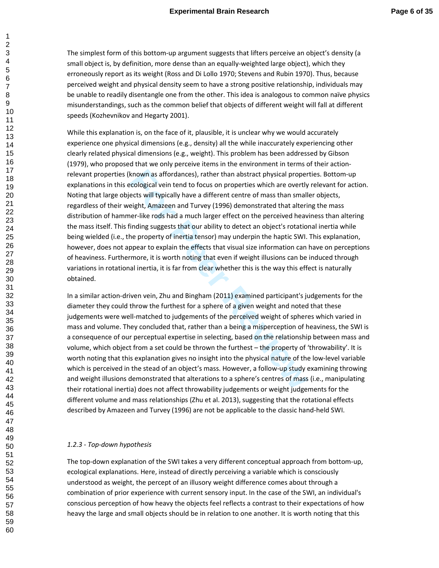The simplest form of this bottom-up argument suggests that lifters perceive an object's density (a small object is, by definition, more dense than an equally-weighted large object), which they erroneously report as its weight (Ross and Di Lollo 1970; Stevens and Rubin 1970). Thus, because perceived weight and physical density seem to have a strong positive relationship, individuals may be unable to readily disentangle one from the other. This idea is analogous to common naïve physics misunderstandings, such as the common belief that objects of different weight will fall at different speeds (Kozhevnikov and Hegarty 2001).

known as affordances), rather than abstract physical propercological vein tend to focus on properties which are overtly<br>ects will typically have a different centre of mass than small<br>eight, Amazeen and Turvey (1996) demons While this explanation is, on the face of it, plausible, it is unclear why we would accurately experience one physical dimensions (e.g., density) all the while inaccurately experiencing other clearly related physical dimensions (e.g., weight). This problem has been addressed by Gibson (1979), who proposed that we only perceive items in the environment in terms of their actionrelevant properties (known as affordances), rather than abstract physical properties. Bottom-up explanations in this ecological vein tend to focus on properties which are overtly relevant for action. Noting that large objects will typically have a different centre of mass than smaller objects, regardless of their weight, Amazeen and Turvey (1996) demonstrated that altering the mass distribution of hammer-like rods had a much larger effect on the perceived heaviness than altering the mass itself. This finding suggests that our ability to detect an object's rotational inertia while being wielded (i.e., the property of inertia tensor) may underpin the haptic SWI. This explanation, however, does not appear to explain the effects that visual size information can have on perceptions of heaviness. Furthermore, it is worth noting that even if weight illusions can be induced through variations in rotational inertia, it is far from clear whether this is the way this effect is naturally obtained.

In a similar action-driven vein, Zhu and Bingham (2011) examined participant's judgements for the diameter they could throw the furthest for a sphere of a given weight and noted that these judgements were well-matched to judgements of the perceived weight of spheres which varied in mass and volume. They concluded that, rather than a being a misperception of heaviness, the SWI is a consequence of our perceptual expertise in selecting, based on the relationship between mass and volume, which object from a set could be thrown the furthest – the property of 'throwability'. It is worth noting that this explanation gives no insight into the physical nature of the low-level variable which is perceived in the stead of an object's mass. However, a follow-up study examining throwing and weight illusions demonstrated that alterations to a sphere's centres of mass (i.e., manipulating their rotational inertia) does not affect throwability judgements or weight judgements for the different volume and mass relationships (Zhu et al. 2013), suggesting that the rotational effects described by Amazeen and Turvey (1996) are not be applicable to the classic hand-held SWI.

#### *1.2.3 - Top-down hypothesis*

The top-down explanation of the SWI takes a very different conceptual approach from bottom-up, ecological explanations. Here, instead of directly perceiving a variable which is consciously understood as weight, the percept of an illusory weight difference comes about through a combination of prior experience with current sensory input. In the case of the SWI, an individual's conscious perception of how heavy the objects feel reflects a contrast to their expectations of how heavy the large and small objects should be in relation to one another. It is worth noting that this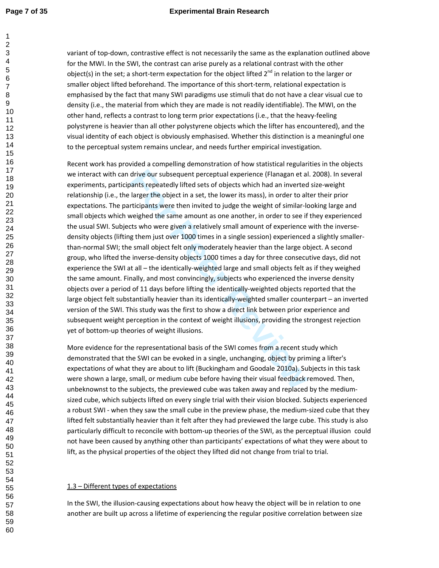# **Page 7 of 35 Experimental Brain Research**

60

variant of top-down, contrastive effect is not necessarily the same as the explanation outlined above for the MWI. In the SWI, the contrast can arise purely as a relational contrast with the other object(s) in the set; a short-term expectation for the object lifted  $2^{nd}$  in relation to the larger or smaller object lifted beforehand. The importance of this short-term, relational expectation is emphasised by the fact that many SWI paradigms use stimuli that do not have a clear visual cue to density (i.e., the material from which they are made is not readily identifiable). The MWI, on the other hand, reflects a contrast to long term prior expectations (i.e., that the heavy-feeling polystyrene is heavier than all other polystyrene objects which the lifter has encountered), and the visual identity of each object is obviously emphasised. Whether this distinction is a meaningful one to the perceptual system remains unclear, and needs further empirical investigation.

drive our subsequent perceptual experience (Flanagan et al<br>aants repeatedly lifted sets of objects which had an inverted<br>larger the object in a set, the lower its mass), in order to alt<br>tricipants were then invited to judg Recent work has provided a compelling demonstration of how statistical regularities in the objects we interact with can drive our subsequent perceptual experience (Flanagan et al. 2008). In several experiments, participants repeatedly lifted sets of objects which had an inverted size-weight relationship (i.e., the larger the object in a set, the lower its mass), in order to alter their prior expectations. The participants were then invited to judge the weight of similar-looking large and small objects which weighed the same amount as one another, in order to see if they experienced the usual SWI. Subjects who were given a relatively small amount of experience with the inversedensity objects (lifting them just over 1000 times in a single session) experienced a slightly smaller than-normal SWI; the small object felt only moderately heavier than the large object. A second group, who lifted the inverse-density objects 1000 times a day for three consecutive days, did not experience the SWI at all – the identically-weighted large and small objects felt as if they weighed the same amount. Finally, and most convincingly, subjects who experienced the inverse density objects over a period of 11 days before lifting the identically-weighted objects reported that the large object felt substantially heavier than its identically-weighted smaller counterpart – an inverted version of the SWI. This study was the first to show a direct link between prior experience and subsequent weight perception in the context of weight illusions, providing the strongest rejection yet of bottom-up theories of weight illusions.

More evidence for the representational basis of the SWI comes from a recent study which demonstrated that the SWI can be evoked in a single, unchanging, object by priming a lifter's expectations of what they are about to lift (Buckingham and Goodale 2010a). Subjects in this task were shown a large, small, or medium cube before having their visual feedback removed. Then, unbeknownst to the subjects, the previewed cube was taken away and replaced by the mediumsized cube, which subjects lifted on every single trial with their vision blocked. Subjects experienced a robust SWI - when they saw the small cube in the preview phase, the medium-sized cube that they lifted felt substantially heavier than it felt after they had previewed the large cube. This study is also particularly difficult to reconcile with bottom-up theories of the SWI, as the perceptual illusion could not have been caused by anything other than participants' expectations of what they were about to lift, as the physical properties of the object they lifted did not change from trial to trial.

#### 1.3 – Different types of expectations

In the SWI, the illusion-causing expectations about how heavy the object will be in relation to one another are built up across a lifetime of experiencing the regular positive correlation between size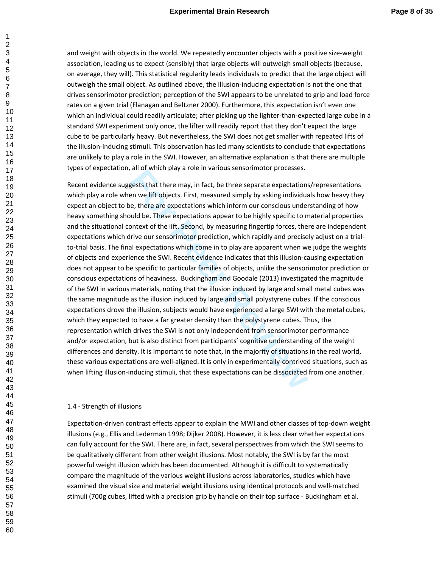and weight with objects in the world. We repeatedly encounter objects with a positive size-weight association, leading us to expect (sensibly) that large objects will outweigh small objects (because, on average, they will). This statistical regularity leads individuals to predict that the large object will outweigh the small object. As outlined above, the illusion-inducing expectation is not the one that drives sensorimotor prediction; perception of the SWI appears to be unrelated to grip and load force rates on a given trial (Flanagan and Beltzner 2000). Furthermore, this expectation isn't even one which an individual could readily articulate; after picking up the lighter-than-expected large cube in a standard SWI experiment only once, the lifter will readily report that they don't expect the large cube to be particularly heavy. But nevertheless, the SWI does not get smaller with repeated lifts of the illusion-inducing stimuli. This observation has led many scientists to conclude that expectations are unlikely to play a role in the SWI. However, an alternative explanation is that there are multiple types of expectation, all of which play a role in various sensorimotor processes.

gests that there may, in fact, be three separate expectations<br>gests that there may, in fact, be three separate expectations<br>en we lift objects. First, measured simply by asking individua<br>e, there are expectations which inf Recent evidence suggests that there may, in fact, be three separate expectations/representations which play a role when we lift objects. First, measured simply by asking individuals how heavy they expect an object to be, there are expectations which inform our conscious understanding of how heavy something should be. These expectations appear to be highly specific to material properties and the situational context of the lift. Second, by measuring fingertip forces, there are independent expectations which drive our sensorimotor prediction, which rapidly and precisely adjust on a trialto-trial basis. The final expectations which come in to play are apparent when we judge the weights of objects and experience the SWI. Recent evidence indicates that this illusion-causing expectation does not appear to be specific to particular families of objects, unlike the sensorimotor prediction or conscious expectations of heaviness. Buckingham and Goodale (2013) investigated the magnitude of the SWI in various materials, noting that the illusion induced by large and small metal cubes was the same magnitude as the illusion induced by large and small polystyrene cubes. If the conscious expectations drove the illusion, subjects would have experienced a large SWI with the metal cubes, which they expected to have a far greater density than the polystyrene cubes. Thus, the representation which drives the SWI is not only independent from sensorimotor performance and/or expectation, but is also distinct from participants' cognitive understanding of the weight differences and density. It is important to note that, in the majority of situations in the real world, these various expectations are well-aligned. It is only in experimentally-contrived situations, such as when lifting illusion-inducing stimuli, that these expectations can be dissociated from one another.

# 1.4 - Strength of illusions

Expectation-driven contrast effects appear to explain the MWI and other classes of top-down weight illusions (e.g., Ellis and Lederman 1998; Dijker 2008). However, it is less clear whether expectations can fully account for the SWI. There are, in fact, several perspectives from which the SWI seems to be qualitatively different from other weight illusions. Most notably, the SWI is by far the most powerful weight illusion which has been documented. Although it is difficult to systematically compare the magnitude of the various weight illusions across laboratories, studies which have examined the visual size and material weight illusions using identical protocols and well-matched stimuli (700g cubes, lifted with a precision grip by handle on their top surface - Buckingham et al.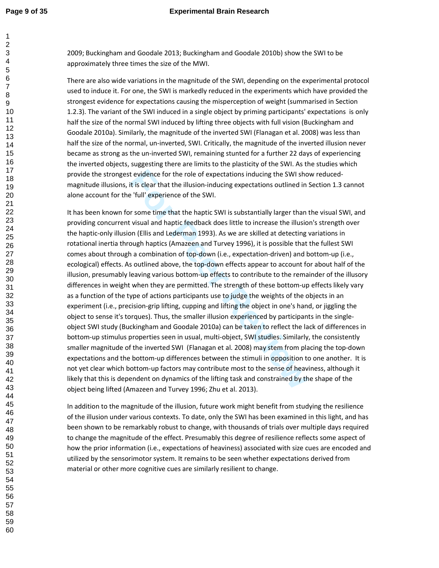$\mathbf 1$ 

# **Page 9 of 35 Experimental Brain Research**

2009; Buckingham and Goodale 2013; Buckingham and Goodale 2010b) show the SWI to be approximately three times the size of the MWI.

There are also wide variations in the magnitude of the SWI, depending on the experimental protocol used to induce it. For one, the SWI is markedly reduced in the experiments which have provided the strongest evidence for expectations causing the misperception of weight (summarised in Section 1.2.3). The variant of the SWI induced in a single object by priming participants' expectations is only half the size of the normal SWI induced by lifting three objects with full vision (Buckingham and Goodale 2010a). Similarly, the magnitude of the inverted SWI (Flanagan et al. 2008) was less than half the size of the normal, un-inverted, SWI. Critically, the magnitude of the inverted illusion never became as strong as the un-inverted SWI, remaining stunted for a further 22 days of experiencing the inverted objects, suggesting there are limits to the plasticity of the SWI. As the studies which provide the strongest evidence for the role of expectations inducing the SWI show reducedmagnitude illusions, it is clear that the illusion-inducing expectations outlined in Section 1.3 cannot alone account for the 'full' experience of the SWI.

t evidence for the role of expectations inducing the SWI shot it is clear that the illusion-inducing expectations outlined in "full" experience of the SWI.<br> **For Some time that the haptic SWI is substantially larger than** It has been known for some time that the haptic SWI is substantially larger than the visual SWI, and providing concurrent visual and haptic feedback does little to increase the illusion's strength over the haptic-only illusion (Ellis and Lederman 1993). As we are skilled at detecting variations in rotational inertia through haptics (Amazeen and Turvey 1996), it is possible that the fullest SWI comes about through a combination of top-down (i.e., expectation-driven) and bottom-up (i.e., ecological) effects. As outlined above, the top-down effects appear to account for about half of the illusion, presumably leaving various bottom-up effects to contribute to the remainder of the illusory differences in weight when they are permitted. The strength of these bottom-up effects likely vary as a function of the type of actions participants use to judge the weights of the objects in an experiment (i.e., precision-grip lifting, cupping and lifting the object in one's hand, or jiggling the object to sense it's torques). Thus, the smaller illusion experienced by participants in the singleobject SWI study (Buckingham and Goodale 2010a) can be taken to reflect the lack of differences in bottom-up stimulus properties seen in usual, multi-object, SWI studies. Similarly, the consistently smaller magnitude of the inverted SWI (Flanagan et al. 2008) may stem from placing the top-down expectations and the bottom-up differences between the stimuli in opposition to one another. It is not yet clear which bottom-up factors may contribute most to the sense of heaviness, although it likely that this is dependent on dynamics of the lifting task and constrained by the shape of the object being lifted (Amazeen and Turvey 1996; Zhu et al. 2013).

In addition to the magnitude of the illusion, future work might benefit from studying the resilience of the illusion under various contexts. To date, only the SWI has been examined in this light, and has been shown to be remarkably robust to change, with thousands of trials over multiple days required to change the magnitude of the effect. Presumably this degree of resilience reflects some aspect of how the prior information (i.e., expectations of heaviness) associated with size cues are encoded and utilized by the sensorimotor system. It remains to be seen whether expectations derived from material or other more cognitive cues are similarly resilient to change.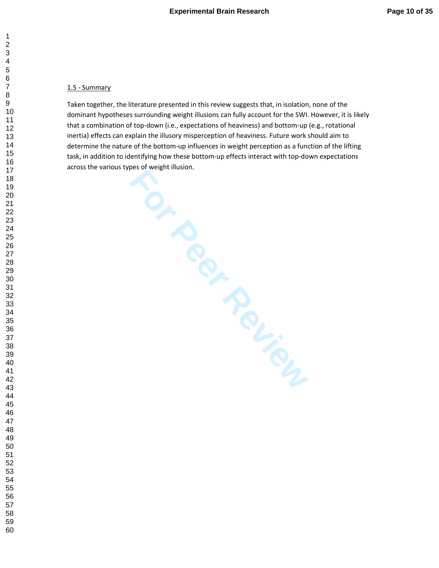# 1.5 - Summary

Taken together, the literature presented in this review suggests that, in isolation, none of the dominant hypotheses surrounding weight illusions can fully account for the SWI. However, it is likely that a combination of top-down (i.e., expectations of heaviness) and bottom-up (e.g., rotational inertia) effects can explain the illusory misperception of heaviness. Future work should aim to determine the nature of the bottom-up influences in weight perception as a function of the lifting task, in addition to identifying how these bottom-up effects interact with top-down expectations across the various types of weight illusion.

For Per Review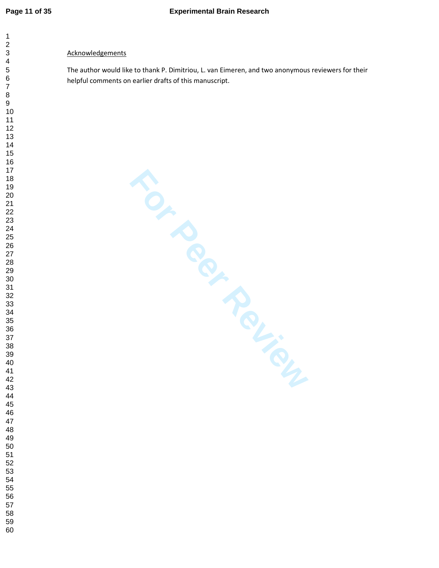# Acknowledgements

The author would like to thank P. Dimitriou, L. van Eimeren, and two anonymous reviewers for their helpful comments on earlier drafts of this manuscript.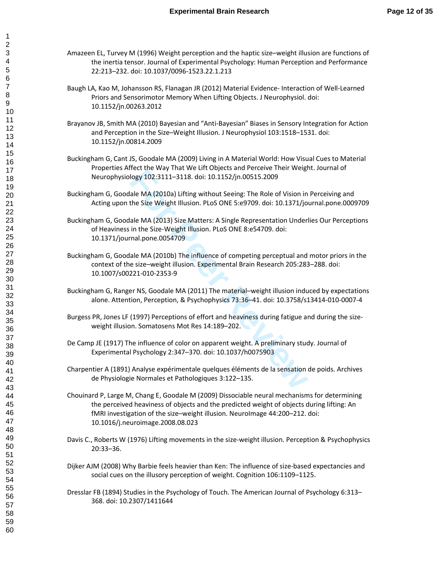- Amazeen EL, Turvey M (1996) Weight perception and the haptic size–weight illusion are functions of the inertia tensor. Journal of Experimental Psychology: Human Perception and Performance 22:213–232. doi: 10.1037/0096-1523.22.1.213
- Baugh LA, Kao M, Johansson RS, Flanagan JR (2012) Material Evidence- Interaction of Well-Learned Priors and Sensorimotor Memory When Lifting Objects. J Neurophysiol. doi: 10.1152/jn.00263.2012
- Brayanov JB, Smith MA (2010) Bayesian and "Anti-Bayesian" Biases in Sensory Integration for Action and Perception in the Size–Weight Illusion. J Neurophysiol 103:1518–1531. doi: 10.1152/jn.00814.2009
- Buckingham G, Cant JS, Goodale MA (2009) Living in A Material World: How Visual Cues to Material Properties Affect the Way That We Lift Objects and Perceive Their Weight. Journal of Neurophysiology 102:3111–3118. doi: 10.1152/jn.00515.2009
- Buckingham G, Goodale MA (2010a) Lifting without Seeing: The Role of Vision in Perceiving and Acting upon the Size Weight Illusion. PLoS ONE 5:e9709. doi: 10.1371/journal.pone.0009709
- Free the Way That We Eric Upletas and Free Fictor Fictor<br>
For Peer Fictor Theorem (1991)<br>
The Size Weight Illusion. PLoS ONE 5:e9709. doi: 10.1371/jot<br>
ale MA (2010a) Lifting without Seeing: The Role of Vision in<br>
the Size Buckingham G, Goodale MA (2013) Size Matters: A Single Representation Underlies Our Perceptions of Heaviness in the Size-Weight Illusion. PLoS ONE 8:e54709. doi: 10.1371/journal.pone.0054709
- Buckingham G, Goodale MA (2010b) The influence of competing perceptual and motor priors in the context of the size–weight illusion. Experimental Brain Research 205:283–288. doi: 10.1007/s00221-010-2353-9
- Buckingham G, Ranger NS, Goodale MA (2011) The material–weight illusion induced by expectations alone. Attention, Perception, & Psychophysics 73:36–41. doi: 10.3758/s13414-010-0007-4
- Burgess PR, Jones LF (1997) Perceptions of effort and heaviness during fatigue and during the sizeweight illusion. Somatosens Mot Res 14:189–202.
- De Camp JE (1917) The influence of color on apparent weight. A preliminary study. Journal of Experimental Psychology 2:347–370. doi: 10.1037/h0075903
- Charpentier A (1891) Analyse expérimentale quelques éléments de la sensation de poids. Archives de Physiologie Normales et Pathologiques 3:122–135.
- Chouinard P, Large M, Chang E, Goodale M (2009) Dissociable neural mechanisms for determining the perceived heaviness of objects and the predicted weight of objects during lifting: An fMRI investigation of the size–weight illusion. NeuroImage 44:200–212. doi: 10.1016/j.neuroimage.2008.08.023
- Davis C., Roberts W (1976) Lifting movements in the size-weight illusion. Perception & Psychophysics 20:33–36.
- Dijker AJM (2008) Why Barbie feels heavier than Ken: The influence of size-based expectancies and social cues on the illusory perception of weight. Cognition 106:1109–1125.
- Dresslar FB (1894) Studies in the Psychology of Touch. The American Journal of Psychology 6:313– 368. doi: 10.2307/1411644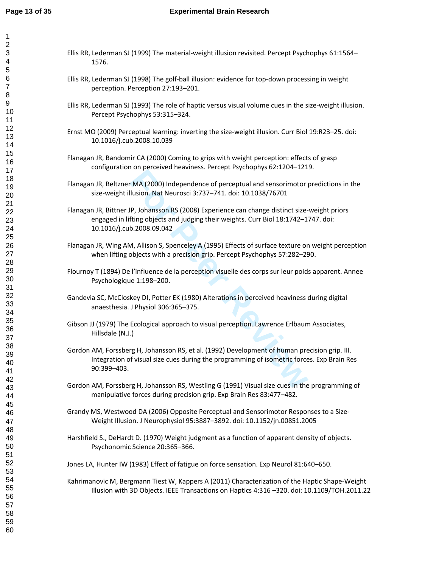123456789

 $\mathbf{1}$  $\overline{2}$  $\overline{3}$  $\overline{\mathbf{4}}$  $\overline{5}$  $\,6$  $\overline{\mathbf{7}}$  $\bf 8$  $\boldsymbol{9}$ 

| Ellis RR, Lederman SJ (1999) The material-weight illusion revisited. Percept Psychophys 61:1564-<br>1576.                                                                                                         |
|-------------------------------------------------------------------------------------------------------------------------------------------------------------------------------------------------------------------|
| Ellis RR, Lederman SJ (1998) The golf-ball illusion: evidence for top-down processing in weight<br>perception. Perception 27:193-201.                                                                             |
| Ellis RR, Lederman SJ (1993) The role of haptic versus visual volume cues in the size-weight illusion.<br>Percept Psychophys 53:315-324.                                                                          |
| Ernst MO (2009) Perceptual learning: inverting the size-weight illusion. Curr Biol 19:R23-25. doi:<br>10.1016/j.cub.2008.10.039                                                                                   |
| Flanagan JR, Bandomir CA (2000) Coming to grips with weight perception: effects of grasp<br>configuration on perceived heaviness. Percept Psychophys 62:1204-1219.                                                |
| Flanagan JR, Beltzner MA (2000) Independence of perceptual and sensorimotor predictions in the<br>size-weight illusion. Nat Neurosci 3:737-741. doi: 10.1038/76701                                                |
| Flanagan JR, Bittner JP, Johansson RS (2008) Experience can change distinct size-weight priors<br>engaged in lifting objects and judging their weights. Curr Biol 18:1742-1747. doi:<br>10.1016/j.cub.2008.09.042 |
| Flanagan JR, Wing AM, Allison S, Spenceley A (1995) Effects of surface texture on weight perception<br>when lifting objects with a precision grip. Percept Psychophys 57:282-290.                                 |
| Flournoy T (1894) De l'influence de la perception visuelle des corps sur leur poids apparent. Annee<br>Psychologique 1:198-200.                                                                                   |
| Gandevia SC, McCloskey DI, Potter EK (1980) Alterations in perceived heaviness during digital<br>anaesthesia. J Physiol 306:365-375.                                                                              |
| Gibson JJ (1979) The Ecological approach to visual perception. Lawrence Erlbaum Associates,<br>Hillsdale (N.J.)                                                                                                   |
| Gordon AM, Forssberg H, Johansson RS, et al. (1992) Development of human precision grip. III.<br>Integration of visual size cues during the programming of isometric forces. Exp Brain Res<br>90:399-403.         |
| Gordon AM, Forssberg H, Johansson RS, Westling G (1991) Visual size cues in the programming of<br>manipulative forces during precision grip. Exp Brain Res 83:477-482.                                            |
| Grandy MS, Westwood DA (2006) Opposite Perceptual and Sensorimotor Responses to a Size-<br>Weight Illusion. J Neurophysiol 95:3887-3892. doi: 10.1152/jn.00851.2005                                               |
| Harshfield S., DeHardt D. (1970) Weight judgment as a function of apparent density of objects.<br>Psychonomic Science 20:365-366.                                                                                 |
| Jones LA, Hunter IW (1983) Effect of fatigue on force sensation. Exp Neurol 81:640-650.                                                                                                                           |
| Kahrimanovic M, Bergmann Tiest W, Kappers A (2011) Characterization of the Haptic Shape-Weight<br>Illusion with 3D Objects. IEEE Transactions on Haptics 4:316 -320. doi: 10.1109/TOH.2011.22                     |
|                                                                                                                                                                                                                   |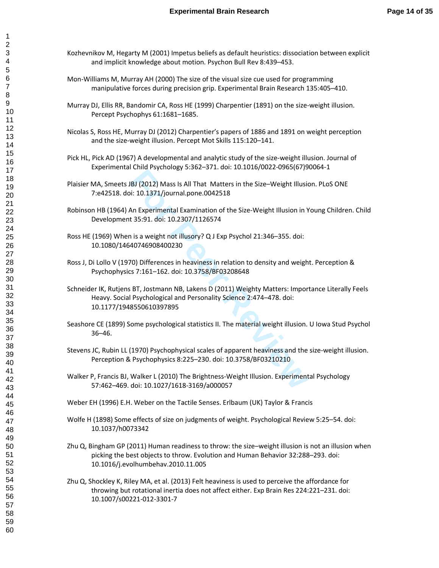- Kozhevnikov M, Hegarty M (2001) Impetus beliefs as default heuristics: dissociation between explicit and implicit knowledge about motion. Psychon Bull Rev 8:439–453.
- Mon-Williams M, Murray AH (2000) The size of the visual size cue used for programming manipulative forces during precision grip. Experimental Brain Research 135:405–410.
- Murray DJ, Ellis RR, Bandomir CA, Ross HE (1999) Charpentier (1891) on the size-weight illusion. Percept Psychophys 61:1681–1685.
- Nicolas S, Ross HE, Murray DJ (2012) Charpentier's papers of 1886 and 1891 on weight perception and the size-weight illusion. Percept Mot Skills 115:120–141.
- Pick HL, Pick AD (1967) A developmental and analytic study of the size-weight illusion. Journal of Experimental Child Psychology 5:362–371. doi: 10.1016/0022-0965(67)90064-1
- Plaisier MA, Smeets JBJ (2012) Mass Is All That Matters in the Size–Weight Illusion. PLoS ONE 7:e42518. doi: 10.1371/journal.pone.0042518
- Robinson HB (1964) An Experimental Examination of the Size-Weight Illusion in Young Children. Child Development 35:91. doi: 10.2307/1126574
- Ross HE (1969) When is a weight not illusory? Q J Exp Psychol 21:346–355. doi: 10.1080/14640746908400230
- Ross J, Di Lollo V (1970) Differences in heaviness in relation to density and weight. Perception & Psychophysics 7:161–162. doi: 10.3758/BF03208648
- **For Personally Process** Process Protection and Bize-Weight Illusion<br>
ii: 10.1371/journal.pone.0042518<br>
An Experimental Examination of the Size-Weight Illusion in Y<br>
135:91. doi: 10.2307/1126574<br>
is a weight not illusory? Schneider IK, Rutjens BT, Jostmann NB, Lakens D (2011) Weighty Matters: Importance Literally Feels Heavy. Social Psychological and Personality Science 2:474–478. doi: 10.1177/1948550610397895
- Seashore CE (1899) Some psychological statistics II. The material weight illusion. U Iowa Stud Psychol 36–46.
- Stevens JC, Rubin LL (1970) Psychophysical scales of apparent heaviness and the size-weight illusion. Perception & Psychophysics 8:225–230. doi: 10.3758/BF03210210
- Walker P, Francis BJ, Walker L (2010) The Brightness-Weight Illusion. Experimental Psychology 57:462–469. doi: 10.1027/1618-3169/a000057
- Weber EH (1996) E.H. Weber on the Tactile Senses. Erlbaum (UK) Taylor & Francis
- Wolfe H (1898) Some effects of size on judgments of weight. Psychological Review 5:25–54. doi: 10.1037/h0073342
- Zhu Q, Bingham GP (2011) Human readiness to throw: the size–weight illusion is not an illusion when picking the best objects to throw. Evolution and Human Behavior 32:288–293. doi: 10.1016/j.evolhumbehav.2010.11.005
- Zhu Q, Shockley K, Riley MA, et al. (2013) Felt heaviness is used to perceive the affordance for throwing but rotational inertia does not affect either. Exp Brain Res 224:221–231. doi: 10.1007/s00221-012-3301-7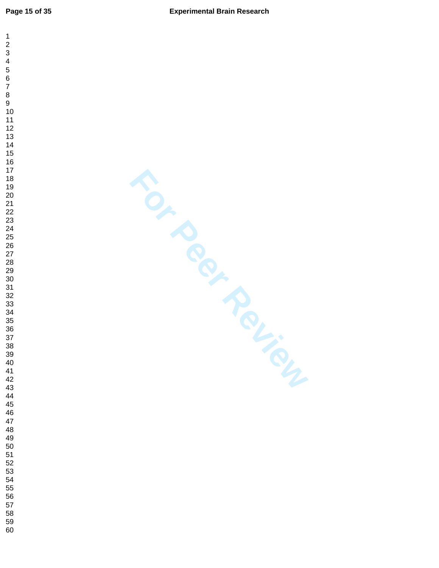

- 
-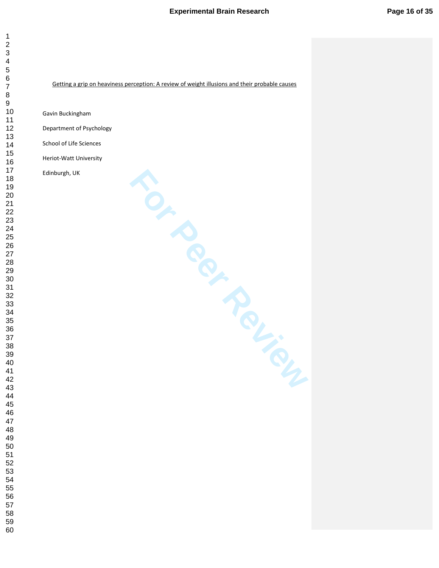**FOR PROVICA** Getting a grip on heaviness perception: A review of weight illusions and their probable causes

- Gavin Buckingham
- Department of Psychology
- School of Life Sciences
- Heriot-Watt University
- Edinburgh, UK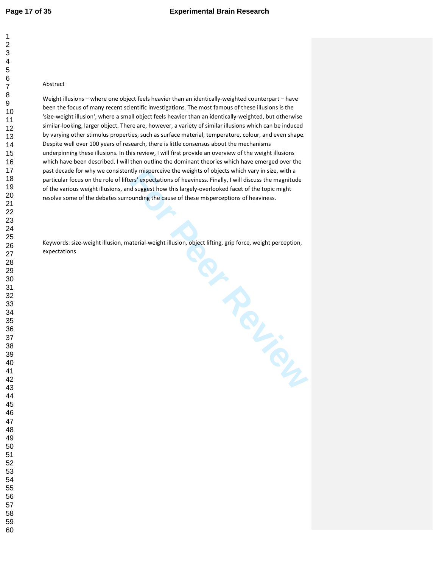$\mathbf{1}$  $\overline{2}$ 

#### **Abstract**

Weight illusions – where one object feels heavier than an identically-weighted counterpart – have been the focus of many recent scientific investigations. The most famous of these illusions is the 'size-weight illusion', where a small object feels heavier than an identically-weighted, but otherwise similar-looking, larger object. There are, however, a variety of similar illusions which can be induced by varying other stimulus properties, such as surface material, temperature, colour, and even shape. Despite well over 100 years of research, there is little consensus about the mechanisms underpinning these illusions. In this review, I will first provide an overview of the weight illusions which have been described. I will then outline the dominant theories which have emerged over the past decade for why we consistently misperceive the weights of objects which vary in size, with a particular focus on the role of lifters' expectations of heaviness. Finally, I will discuss the magnitude of the various weight illusions, and suggest how this largely-overlooked facet of the topic might resolve some of the debates surrounding the cause of these misperceptions of heaviness.

Keywords: size-weight illusion, material-weight illusion, object lifting, grip force, weight perception, expectations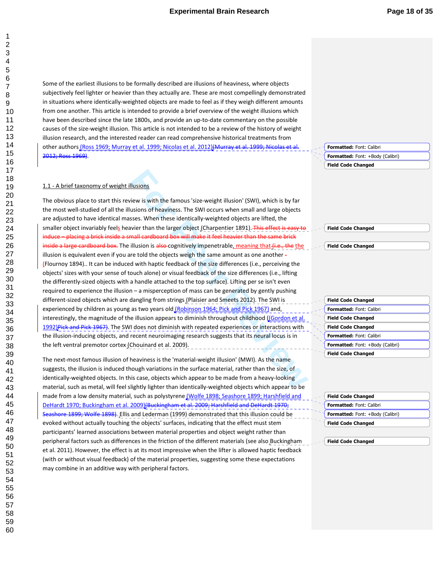Some of the earliest illusions to be formally described are illusions of heaviness, where objects subjectively feel lighter or heavier than they actually are. These are most compellingly demonstrated in situations where identically-weighted objects are made to feel as if they weigh different amounts from one another. This article is intended to provide a brief overview of the weight illusions which have been described since the late 1800s, and provide an up-to-date commentary on the possible causes of the size-weight illusion. This article is not intended to be a review of the history of weight illusion research, and the interested reader can read comprehensive historical treatments from other authors (Ross 1969; Murray et al. 1999; Nicolas et al. 2012) (Murray et al. 1999; Nicolas et 2012; Ross 1969).

#### 1.1 - A brief taxonomy of weight illusions

**Illusions**<br> **For the Source Computer Control** is the through since weight illusion' (SWI), which is by far<br>
signos of heaviness. The SWI occurs when small and large objects<br>
sses. When these identically-weighted objects a The obvious place to start this review is with the famous 'size-weight illusion' (SWI), which is by far the most well-studied of all the illusions of heaviness. The SWI occurs when small and large objects are adjusted to have identical masses. When these identically-weighted objects are lifted, the smaller object invariably feels heavier than the larger object (Charpentier 1891). This effect is easy to induce – placing a brick inside a small cardboard box will make it feel heavier than the same brick inside a large cardboard box. The illusion is also cognitively impenetrable, meaning that (i.e., the the illusion is equivalent even if you are told the objects weigh the same amount as one another -<br>(Flournoy 1894).. It can be induced with haptic feedback of the size differences (i.e., perceiving the objects' sizes with your sense of touch alone) or visual feedback of the size differences (i.e., lifting the differently-sized objects with a handle attached to the top surface). Lifting per se isn't even required to experience the illusion – a misperception of mass can be generated by gently pushing different-sized objects which are dangling from strings (Plaisier and Smeets 2012). The SWI is experienced by children as young as two years old (Robinson 1964; Pick and Pick 1967) and, interestingly, the magnitude of the illusion appears to diminish throughout childhood ((Gordon et al. 1992)Pick and Pick 1967). The SWI does not diminish with repeated experiences or interactions with the illusion-inducing objects, and recent neuroimaging research suggests that its neural locus is in the left ventral premotor cortex (Chouinard et al. 2009).

The next-most famous illusion of heaviness is the 'material-weight illusion' (MWI). As the name suggests, the illusion is induced though variations in the surface material, rather than the size, of identically-weighted objects. In this case, objects which appear to be made from a heavy-looking material, such as metal, will feel slightly lighter than identically-weighted objects which appear to be made from a low density material, such as polystyrene (Wolfe 1898; Seashore 1899; Harshfield and DeHardt 1970; Buckingham et al. 2009)(Buckingham et al. 2009; Harshfield and DeHardt 1970; Seashore 1899; Wolfe 1898). Ellis and Lederman (1999) demonstrated that this illusion could be evoked without actually touching the objects' surfaces, indicating that the effect must stem participants' learned associations between material properties and object weight rather than peripheral factors such as differences in the friction of the different materials (see also Buckingham et al. 2011). However, the effect is at its most impressive when the lifter is allowed haptic feedback (with or without visual feedback) of the material properties, suggesting some these expectations may combine in an additive way with peripheral factors.

#### **Formatted:** Font: Calibri **Formatted:** Font: +Body (Calibri)

**Field Code Changed**

**Field Code Changed**

**Field Code Changed**

| <b>Field Code Changed</b>        |
|----------------------------------|
| Formatted: Font: Calibri         |
| <b>Field Code Changed</b>        |
| <b>Field Code Changed</b>        |
| Formatted: Font: Calibri         |
| Formatted: Font: +Body (Calibri) |
| <b>Field Code Changed</b>        |

| - Field Code Changed             |
|----------------------------------|
| Formatted: Font: Calibri         |
| Formatted: Font: +Body (Calibri) |
| <b>Field Code Changed</b>        |
|                                  |

**Field Code Changed**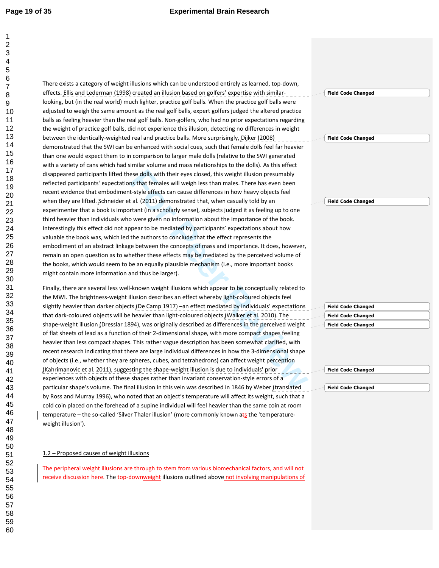$\mathbf{1}$ 

# **Page 19 of 35 Experimental Brain Research**

60

ese dolls with their eyes closed, this weight illusion presumably<br>in that females will weigh less than males. There has even been<br>t-style effects can cause differences in how heavy objects feel<br>al. (2011) demonstrated that There exists a category of weight illusions which can be understood entirely as learned, top-down, effects. Ellis and Lederman (1998) created an illusion based on golfers' expertise with similarlooking, but (in the real world) much lighter, practice golf balls. When the practice golf balls were adjusted to weigh the same amount as the real golf balls, expert golfers judged the altered practice balls as feeling heavier than the real golf balls. Non-golfers, who had no prior expectations regarding the weight of practice golf balls, did not experience this illusion, detecting no differences in weight between the identically-weighted real and practice balls. More surprisingly, Dijker (2008) demonstrated that the SWI can be enhanced with social cues, such that female dolls feel far heavier than one would expect them to in comparison to larger male dolls (relative to the SWI generated with a variety of cans which had similar volume and mass relationships to the dolls). As this effect disappeared participants lifted these dolls with their eyes closed, this weight illusion presumably reflected participants' expectations that females will weigh less than males. There has even been recent evidence that embodiment-style effects can cause differences in how heavy objects feel when they are lifted. Schneider et al. (2011) demonstrated that, when casually told by an experimenter that a book is important (in a scholarly sense), subjects judged it as feeling up to one third heavier than individuals who were given no information about the importance of the book. Interestingly this effect did not appear to be mediated by participants' expectations about how valuable the book was, which led the authors to conclude that the effect represents the embodiment of an abstract linkage between the concepts of mass and importance. It does, however, remain an open question as to whether these effects may be mediated by the perceived volume of the books, which would seem to be an equally plausible mechanism (i.e., more important books might contain more information and thus be larger).

Finally, there are several less well-known weight illusions which appear to be conceptually related to the MWI. The brightness-weight illusion describes an effect whereby light-coloured objects feel slightly heavier than darker objects (De Camp 1917) –an effect mediated by individuals' expectations that dark-coloured objects will be heavier than light-coloured objects (Walker et al. 2010). The shape-weight illusion (Dresslar 1894), was originally described as differences in the perceived weight of flat sheets of lead as a function of their 2-dimensional shape, with more compact shapes feeling heavier than less compact shapes. This rather vague description has been somewhat clarified, with recent research indicating that there are large individual differences in how the 3-dimensional shape of objects (i.e., whether they are spheres, cubes, and tetrahedrons) can affect weight perception (Kahrimanovic et al. 2011), suggesting the shape-weight illusion is due to individuals' prior experiences with objects of these shapes rather than invariant conservation-style errors of a particular shape's volume. The final illusion in this vein was described in 1846 by Weber (translated by Ross and Murray 1996), who noted that an object's temperature will affect its weight, such that a cold coin placed on the forehead of a supine individual will feel heavier than the same coin at room temperature – the so-called 'Silver Thaler illusion' (more commonly known ats the 'temperatureweight illusion').

#### 1.2 – Proposed causes of weight illusions

through to stem from various biomechanical factors, and will not discussion here. The top-downweight illusions outlined above not involving manipulations of **Field Code Changed**

**Field Code Changed**

**Field Code Changed**

**Field Code Changed Field Code Changed Field Code Changed**

**Field Code Changed**

**Field Code Changed**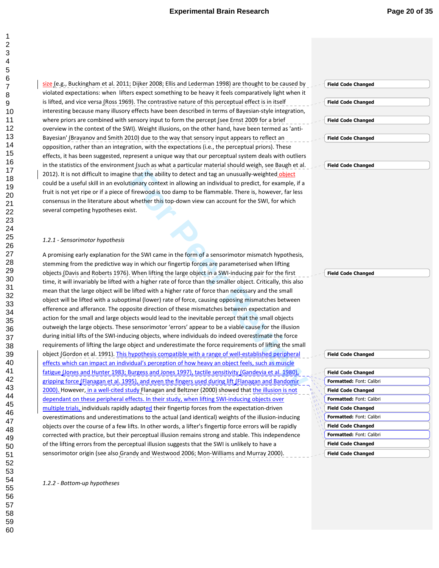# **Experimental Brain Research Page 20 of 35**

size (e.g., Buckingham et al. 2011; Dijker 2008; Ellis and Lederman 1998) are thought to be caused by violated expectations: when lifters expect something to be heavy it feels comparatively light when it is lifted, and vice versa (Ross 1969). The contrastive nature of this perceptual effect is in itself interesting because many illusory effects have been described in terms of Bayesian-style integration, where priors are combined with sensory input to form the percept (see Ernst 2009 for a brief overview in the context of the SWI). Weight illusions, on the other hand, have been termed as 'anti-Bayesian' (Brayanov and Smith 2010) due to the way that sensory input appears to reflect an opposition, rather than an integration, with the expectations (i.e., the perceptual priors). These effects, it has been suggested, represent a unique way that our perceptual system deals with outliers in the statistics of the environment (such as what a particular material should weigh, see Baugh et al. 2012). It is not difficult to imagine that the ability to detect and tag an unusually-weighted object could be a useful skill in an evolutionary context in allowing an individual to predict, for example, if a fruit is not yet ripe or if a piece of firewood is too damp to be flammable. There is, however, far less consensus in the literature about whether this top-down view can account for the SWI, for which several competing hypotheses exist.

# **Field Code Changed Field Code Changed Field Code Changed**

**Field Code Changed**

**Field Code Changed**

#### *1.2.1 - Sensorimotor hypothesis*

that the ability to detect and tag an unusually-weighted <u>object</u><br>
tionary context in allowing an individual to predict, for example, if a<br>
firewood is too damp to be flammable. There is, however, far less<br>
whether this to A promising early explanation for the SWI came in the form of a sensorimotor mismatch hypothesis, stemming from the predictive way in which our fingertip forces are parameterised when lifting objects (Davis and Roberts 1976). When lifting the large object in a SWI-inducing pair for the first time, it will invariably be lifted with a higher rate of force than the smaller object. Critically, this also mean that the large object will be lifted with a higher rate of force than necessary and the small object will be lifted with a suboptimal (lower) rate of force, causing opposing mismatches between efference and afferance. The opposite direction of these mismatches between expectation and action for the small and large objects would lead to the inevitable percept that the small objects outweigh the large objects. These sensorimotor 'errors' appear to be a viable cause for the illusion during initial lifts of the SWI-inducing objects, where individuals do indeed overestimate the force requirements of lifting the large object and underestimate the force requirements of lifting the small object (Gordon et al. 1991). This hypothesis compatible with a range of well-established peripheral effects which can impact an individual's perception of how heavy an object feels, such as muscle fatigue (Jones and Hunter 1983; Burgess and Jones 1997), tactile sensitivity (Gandevia et al. 1980), gripping force (Flanagan et al. 1995), and even the fingers used during lift (Flanagan and Bandomir 2000). However, in a well-cited study Flanagan and Beltzner (2000) showed that the illusion is not dependant on these peripheral effects. In their study, when lifting SWI-inducing objects over multiple trials, individuals rapidly adapted their fingertip forces from the expectation-driven overestimations and underestimations to the actual (and identical) weights of the illusion-inducing objects over the course of a few lifts. In other words, a lifter's fingertip force errors will be rapidly corrected with practice, but their perceptual illusion remains strong and stable. This independence of the lifting errors from the perceptual illusion suggests that the SWI is unlikely to have a sensorimotor origin (see also Grandy and Westwood 2006; Mon-Williams and Murray 2000).

**Field Code Changed**

| <b>Field Code Changed</b>       |
|---------------------------------|
|                                 |
| <b>Field Code Changed</b>       |
| Formatted: Font: Calibri        |
| <b>Field Code Changed</b>       |
| <b>Formatted: Font: Calibri</b> |
| <b>Field Code Changed</b>       |
| Formatted: Font: Calibri        |
| <b>Field Code Changed</b>       |
| <b>Formatted: Font: Calibri</b> |
| <b>Field Code Changed</b>       |
| <b>Field Code Changed</b>       |

*1.2.2 - Bottom-up hypotheses*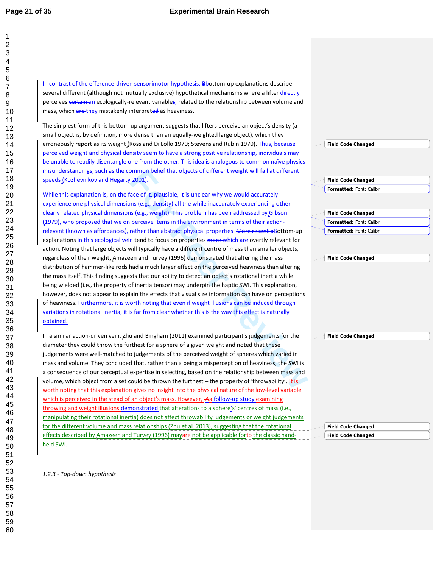# **Page 21 of 35 Experimental Brain Research**

In contrast of the efference-driven sensorimotor hypothesis, Bbottom-up explanations describe several different (although not mutually exclusive) hypothetical mechanisms where a lifter directly perceives certain an ecologically-relevant variables, related to the relationship between volume and mass, which are they mistakenly interpreted as heaviness.

The simplest form of this bottom-up argument suggests that lifters perceive an object's density (a small object is, by definition, more dense than an equally-weighted large object), which they erroneously report as its weight (Ross and Di Lollo 1970; Stevens and Rubin 1970). Thus, because perceived weight and physical density seem to have a strong positive relationship, individuals may be unable to readily disentangle one from the other. This idea is analogous to common naïve physics misunderstandings, such as the common belief that objects of different weight will fall at different speeds (Kozhevnikov and Hegarty 2001).

mmon belief that objects of different weight will fall at different<br>
<u>2001).</u><br>
<u>For Co011</u><br> **For Peer Conseilable, it is unclear why we would accurately**<br>
Insetes, density) all the while inaccurately experiencing other<br>
<u>I</u> While this explanation is, on the face of it, plausible, it is unclear why we would accurately experience one physical dimensions (e.g., density) all the while inaccurately experiencing other clearly related physical dimensions (e.g., weight). This problem has been addressed by Gibson (1979), who proposed that we on perceive items in the environment in terms of their actionrelevant (known as affordances), rather than abstract physical properties. More recent bBottom-up explanations in this ecological vein tend to focus on properties more which are overtly relevant for action. Noting that large objects will typically have a different centre of mass than smaller objects, regardless of their weight, Amazeen and Turvey (1996) demonstrated that altering the mass distribution of hammer-like rods had a much larger effect on the perceived heaviness than altering the mass itself. This finding suggests that our ability to detect an object's rotational inertia while being wielded (i.e., the property of inertia tensor) may underpin the haptic SWI. This explanation, however, does not appear to explain the effects that visual size information can have on perceptions of heaviness. Furthermore, it is worth noting that even if weight illusions can be induced through variations in rotational inertia, it is far from clear whether this is the way this effect is naturally obtained.

In a similar action-driven vein, Zhu and Bingham (2011) examined participant's judgements for the diameter they could throw the furthest for a sphere of a given weight and noted that these judgements were well-matched to judgements of the perceived weight of spheres which varied in mass and volume. They concluded that, rather than a being a misperception of heaviness, the SWI is a consequence of our perceptual expertise in selecting, based on the relationship between mass and volume, which object from a set could be thrown the furthest – the property of 'throwability'. It is worth noting that this explanation gives no insight into the physical nature of the low-level variable which is perceived in the stead of an object's mass. However, Aa follow-up study examining throwing and weight illusions demonstrated that alterations to a sphere's' centres of mass (i.e., manipulating their rotational inertia) does not affect throwability judgements or weight judgements for the different volume and mass relationships (Zhu et al. 2013), suggesting that the rotational effects described by Amazeen and Turvey (1996) mayare not be applicable forto the classic handheld SWI.

**Field Code Changed**

**Field Code Changed Formatted:** Font: Calibri

**Field Code Changed Formatted:** Font: Calibri **Formatted:** Font: Calibri

**Field Code Changed**

**Field Code Changed**

**Field Code Changed Field Code Changed**

*1.2.3 - Top-down hypothesis*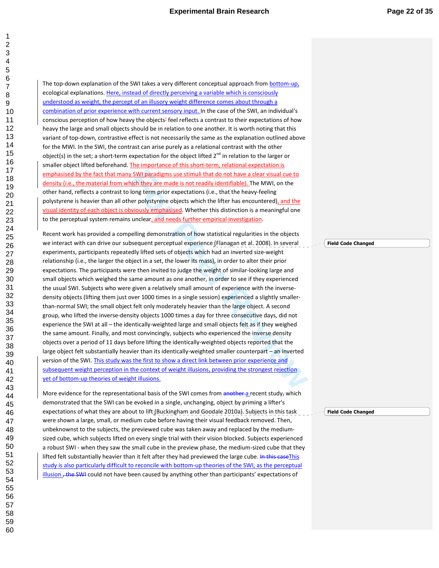The top-down explanation of the SWI takes a very different conceptual approach from bottom-up, ecological explanations. Here, instead of directly perceiving a variable which is consciously understood as weight, the percept of an illusory weight difference comes about through a combination of prior experience with current sensory input. In the case of the SWI, an individual's conscious perception of how heavy the objects' feel reflects a contrast to their expectations of how heavy the large and small objects should be in relation to one another. It is worth noting that this variant of top-down, contrastive effect is not necessarily the same as the explanation outlined above for the MWI. In the SWI, the contrast can arise purely as a relational contrast with the other object(s) in the set; a short-term expectation for the object lifted  $2^{nd}$  in relation to the larger or smaller object lifted beforehand. The importance of this short-term, relational expectation is emphasised by the fact that many SWI paradigms use stimuli that do not have a clear visual cue to density (i.e., the material from which they are made is not readily identifiable). The MWI, on the other hand, reflects a contrast to long term prior expectations (i.e., that the heavy-feeling polystyrene is heavier than all other polystyrene objects which the lifter has encountered), and the visual identity of each object is obviously emphasised. Whether this distinction is a meaningful one to the perceptual system remains unclear, and needs further empirical investigation.

*y* SWI paradigms use stimuli that do not have a clear visual cue to<br>nich they are made is not readily identifiable). The MWI, on the<br>long term prior expectations (i.e., that the heavy-feeling<br>ere polystyrene objects which Recent work has provided a compelling demonstration of how statistical regularities in the objects we interact with can drive our subsequent perceptual experience (Flanagan et al. 2008). In several experiments, participants repeatedly lifted sets of objects which had an inverted size-weight relationship (i.e., the larger the object in a set, the lower its mass), in order to alter their prior expectations. The participants were then invited to judge the weight of similar-looking large and small objects which weighed the same amount as one another, in order to see if they experienced the usual SWI. Subjects who were given a relatively small amount of experience with the inversedensity objects (lifting them just over 1000 times in a single session) experienced a slightly smaller than-normal SWI; the small object felt only moderately heavier than the large object. A second group, who lifted the inverse-density objects 1000 times a day for three consecutive days, did not experience the SWI at all – the identically-weighted large and small objects felt as if they weighed the same amount. Finally, and most convincingly, subjects who experienced the inverse density objects over a period of 11 days before lifting the identically-weighted objects reported that the large object felt substantially heavier than its identically-weighted smaller counterpart – an inverted version of the SWI. This study was the first to show a direct link between prior experience and subsequent weight perception in the context of weight illusions, providing the strongest rejection yet of bottom-up theories of weight illusions.

More evidence for the representational basis of the SWI comes from another-a recent study, which demonstrated that the SWI can be evoked in a single, unchanging, object by priming a lifter's expectations of what they are about to lift (Buckingham and Goodale 2010a). Subjects in this task were shown a large, small, or medium cube before having their visual feedback removed. Then, unbeknownst to the subjects, the previewed cube was taken away and replaced by the mediumsized cube, which subjects lifted on every single trial with their vision blocked. Subjects experienced a robust SWI - when they saw the small cube in the preview phase, the medium-sized cube that they lifted felt substantially heavier than it felt after they had previewed the large cube. In this caseThis study is also particularly difficult to reconcile with bottom-up theories of the SWI, as the perceptual illusion + the SWI could not have been caused by anything other than participants' expectations of

**Field Code Changed**

**Field Code Changed**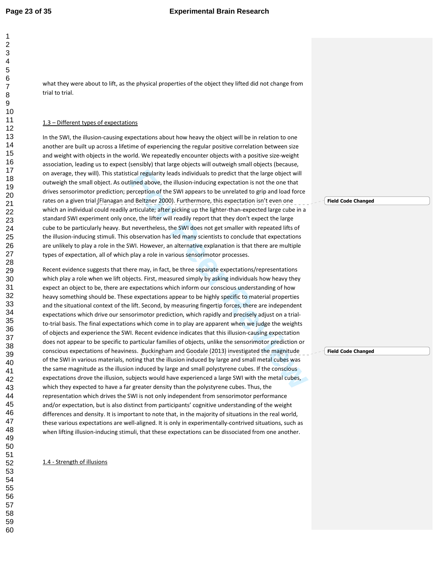$\mathbf{1}$ 

what they were about to lift, as the physical properties of the object they lifted did not change from trial to trial.

#### 1.3 – Different types of expectations

In the SWI, the illusion-causing expectations about how heavy the object will be in relation to one another are built up across a lifetime of experiencing the regular positive correlation between size and weight with objects in the world. We repeatedly encounter objects with a positive size-weight association, leading us to expect (sensibly) that large objects will outweigh small objects (because, on average, they will). This statistical regularity leads individuals to predict that the large object will outweigh the small object. As outlined above, the illusion-inducing expectation is not the one that drives sensorimotor prediction; perception of the SWI appears to be unrelated to grip and load force rates on a given trial (Flanagan and Beltzner 2000). Furthermore, this expectation isn't even one which an individual could readily articulate; after picking up the lighter-than-expected large cube in a standard SWI experiment only once, the lifter will readily report that they don't expect the large cube to be particularly heavy. But nevertheless, the SWI does not get smaller with repeated lifts of the illusion-inducing stimuli. This observation has led many scientists to conclude that expectations are unlikely to play a role in the SWI. However, an alternative explanation is that there are multiple types of expectation, all of which play a role in various sensorimotor processes.

ical regularity leads individuals to predict that the large object will<br>lined above, the illusion-inducing expectation is not the one that<br>erception of the SWI appears to be unrelated to grip and load force<br>articulate; aft Recent evidence suggests that there may, in fact, be three separate expectations/representations which play a role when we lift objects. First, measured simply by asking individuals how heavy they expect an object to be, there are expectations which inform our conscious understanding of how heavy something should be. These expectations appear to be highly specific to material properties and the situational context of the lift. Second, by measuring fingertip forces, there are independent expectations which drive our sensorimotor prediction, which rapidly and precisely adjust on a trialto-trial basis. The final expectations which come in to play are apparent when we judge the weights of objects and experience the SWI. Recent evidence indicates that this illusion-causing expectation does not appear to be specific to particular families of objects, unlike the sensorimotor prediction or conscious expectations of heaviness. Buckingham and Goodale (2013) investigated the magnitude of the SWI in various materials, noting that the illusion induced by large and small metal cubes was the same magnitude as the illusion induced by large and small polystyrene cubes. If the conscious expectations drove the illusion, subjects would have experienced a large SWI with the metal cubes, which they expected to have a far greater density than the polystyrene cubes. Thus, the representation which drives the SWI is not only independent from sensorimotor performance and/or expectation, but is also distinct from participants' cognitive understanding of the weight differences and density. It is important to note that, in the majority of situations in the real world, these various expectations are well-aligned. It is only in experimentally-contrived situations, such as when lifting illusion-inducing stimuli, that these expectations can be dissociated from one another.

#### 1.4 - Strength of illusions

**Field Code Changed**

**Field Code Changed**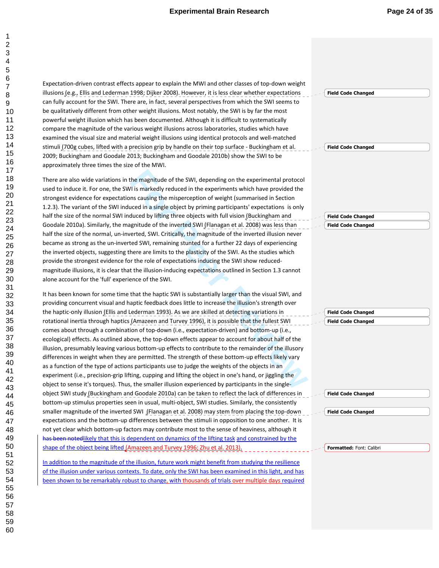# **Experimental Brain Research Page 24 of 35**

Expectation-driven contrast effects appear to explain the MWI and other classes of top-down weight illusions (e.g., Ellis and Lederman 1998; Dijker 2008). However, it is less clear whether expectations can fully account for the SWI. There are, in fact, several perspectives from which the SWI seems to be qualitatively different from other weight illusions. Most notably, the SWI is by far the most powerful weight illusion which has been documented. Although it is difficult to systematically compare the magnitude of the various weight illusions across laboratories, studies which have examined the visual size and material weight illusions using identical protocols and well-matched stimuli (700g cubes, lifted with a precision grip by handle on their top surface - Buckingham et al. 2009; Buckingham and Goodale 2013; Buckingham and Goodale 2010b) show the SWI to be approximately three times the size of the MWI.

the magnitude of the SWI, depending on the experimental protocol<br>
If is markedly reduced in the experiments which have provided the<br>
Ins causing the misperception of weight (summarised in Section<br>
aced in a single object b There are also wide variations in the magnitude of the SWI, depending on the experimental protocol used to induce it. For one, the SWI is markedly reduced in the experiments which have provided the strongest evidence for expectations causing the misperception of weight (summarised in Section 1.2.3). The variant of the SWI induced in a single object by priming participants' expectations is only half the size of the normal SWI induced by lifting three objects with full vision (Buckingham and Goodale 2010a). Similarly, the magnitude of the inverted SWI (Flanagan et al. 2008) was less than half the size of the normal, un-inverted, SWI. Critically, the magnitude of the inverted illusion never became as strong as the un-inverted SWI, remaining stunted for a further 22 days of experiencing the inverted objects, suggesting there are limits to the plasticity of the SWI. As the studies which provide the strongest evidence for the role of expectations inducing the SWI show reducedmagnitude illusions, it is clear that the illusion-inducing expectations outlined in Section 1.3 cannot alone account for the 'full' experience of the SWI.

It has been known for some time that the haptic SWI is substantially larger than the visual SWI, and providing concurrent visual and haptic feedback does little to increase the illusion's strength over the haptic-only illusion (Ellis and Lederman 1993). As we are skilled at detecting variations in rotational inertia through haptics (Amazeen and Turvey 1996), it is possible that the fullest SWI comes about through a combination of top-down (i.e., expectation-driven) and bottom-up (i.e., ecological) effects. As outlined above, the top-down effects appear to account for about half of the illusion, presumably leaving various bottom-up effects to contribute to the remainder of the illusory differences in weight when they are permitted. The strength of these bottom-up effects likely vary as a function of the type of actions participants use to judge the weights of the objects in an experiment (i.e., precision-grip lifting, cupping and lifting the object in one's hand, or jiggling the object to sense it's torques). Thus, the smaller illusion experienced by participants in the singleobject SWI study (Buckingham and Goodale 2010a) can be taken to reflect the lack of differences in bottom-up stimulus properties seen in usual, multi-object, SWI studies. Similarly, the consistently smaller magnitude of the inverted SWI (Flanagan et al. 2008) may stem from placing the top-down expectations and the bottom-up differences between the stimuli in opposition to one another. It is not yet clear which bottom-up factors may contribute most to the sense of heaviness, although it has been notedlikely that this is dependent on dynamics of the lifting task and constrained by the shape of the object being lifted (Amazeen and Turvey 1996; Zhu et al. 2013).

In addition to the magnitude of the illusion, future work might benefit from studying the resilience of the illusion under various contexts. To date, only the SWI has been examined in this light, and has been shown to be remarkably robust to change, with thousands of trials over multiple days required

|  |  | <b>Field Code Changed</b> |
|--|--|---------------------------|
|--|--|---------------------------|

**Field Code Changed**

**Field Code Changed Field Code Changed**

**Field Code Changed Field Code Changed**

**Field Code Changed**

**Field Code Changed**

**Formatted:** Font: Calibri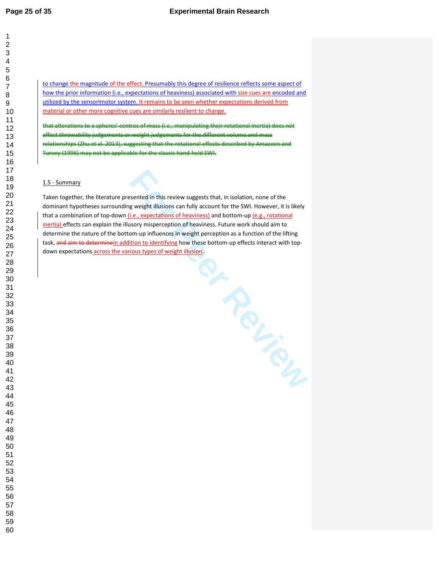to change the magnitude of the effect. Presumably this degree of resilience reflects some aspect of how the prior information (i.e., expectations of heaviness) associated with size cues are encoded and utilized by the sensorimotor system. It remains to be seen whether expectations derived from material or other more cognitive cues are similarly resilient to change.

that alterations to a spheres' centres of mass (i.e., manipulating their rotational inertia) does not affect throwability judgements or weight judgements for the different volume and mass relationships (Zhu et al. 2013), suggesting that the rotational effects described by Amazeen and Turvey (1996) may not be applicable for the classic hand-held SWI.

#### 1.5 - Summary

Taken together, the literature presented in this review suggests that, in isolation, none of the dominant hypotheses surrounding weight illusions can fully account for the SWI. However, it is likely that a combination of top-down (i.e., expectations of heaviness) and bottom-up (e.g., rotational inertia) effects can explain the illusory misperception of heaviness. Future work should aim to determine the nature of the bottom-up influences in weight perception as a function of the lifting task, and aim to determine in addition to identifying how these bottom-up effects interact with topdown expectations across the various types of weight illusion.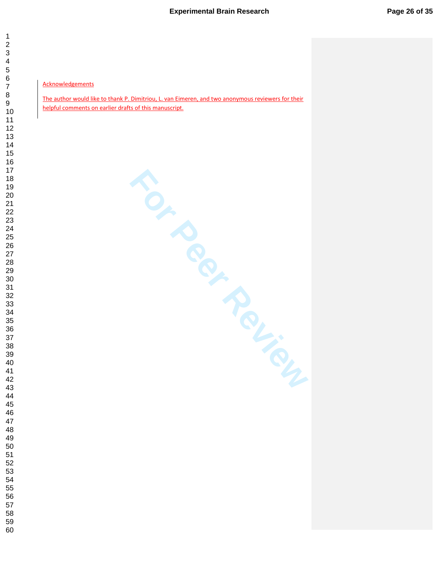Acknowledgements

The author would like to thank P. Dimitriou, L. van Eimeren, and two anonymous reviewers for their helpful comments on earlier drafts of this manuscript.

**Frontiens**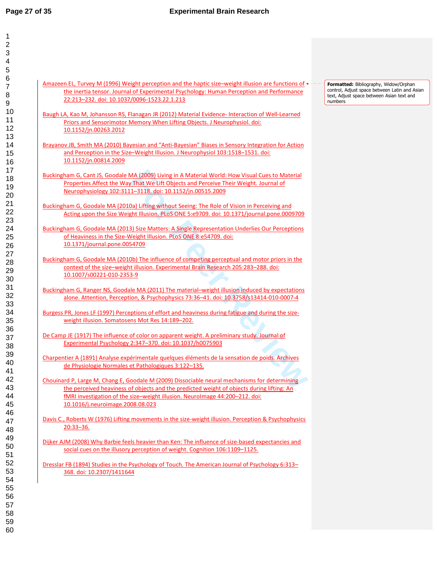$\mathbf{1}$  $\overline{2}$ 

| Amazeen EL, Turvey M (1996) Weight perception and the haptic size-weight illusion are functions of $\star$ -<br>the inertia tensor. Journal of Experimental Psychology: Human Perception and Performance | Formatted: Bibliography, Widow/Orphan<br>control, Adjust space between Latin and Asian |
|----------------------------------------------------------------------------------------------------------------------------------------------------------------------------------------------------------|----------------------------------------------------------------------------------------|
| 22:213-232. doi: 10.1037/0096-1523.22.1.213                                                                                                                                                              | text, Adjust space between Asian text and<br>numbers                                   |
| Baugh LA, Kao M, Johansson RS, Flanagan JR (2012) Material Evidence- Interaction of Well-Learned                                                                                                         |                                                                                        |
| Priors and Sensorimotor Memory When Lifting Objects. J Neurophysiol. doi:<br>10.1152/jn.00263.2012                                                                                                       |                                                                                        |
|                                                                                                                                                                                                          |                                                                                        |
| Brayanov JB, Smith MA (2010) Bayesian and "Anti-Bayesian" Biases in Sensory Integration for Action<br>and Perception in the Size-Weight Illusion. J Neurophysiol 103:1518-1531. doi:                     |                                                                                        |
| 10.1152/jn.00814.2009                                                                                                                                                                                    |                                                                                        |
| Buckingham G, Cant JS, Goodale MA (2009) Living in A Material World: How Visual Cues to Material                                                                                                         |                                                                                        |
| Properties Affect the Way That We Lift Objects and Perceive Their Weight. Journal of                                                                                                                     |                                                                                        |
| Neurophysiology 102:3111-3118. doi: 10.1152/jn.00515.2009                                                                                                                                                |                                                                                        |
| Buckingham G, Goodale MA (2010a) Lifting without Seeing: The Role of Vision in Perceiving and                                                                                                            |                                                                                        |
| Acting upon the Size Weight Illusion. PLoS ONE 5:e9709. doi: 10.1371/journal.pone.0009709                                                                                                                |                                                                                        |
| Buckingham G, Goodale MA (2013) Size Matters: A Single Representation Underlies Our Perceptions                                                                                                          |                                                                                        |
| of Heaviness in the Size-Weight Illusion. PLoS ONE 8:e54709. doi:<br>10.1371/journal.pone.0054709                                                                                                        |                                                                                        |
|                                                                                                                                                                                                          |                                                                                        |
| Buckingham G, Goodale MA (2010b) The influence of competing perceptual and motor priors in the<br>context of the size-weight illusion. Experimental Brain Research 205:283-288. doi:                     |                                                                                        |
| 10.1007/s00221-010-2353-9                                                                                                                                                                                |                                                                                        |
|                                                                                                                                                                                                          |                                                                                        |
| Buckingham G, Ranger NS, Goodale MA (2011) The material-weight illusion induced by expectations<br>alone. Attention, Perception, & Psychophysics 73:36-41. doi: 10.3758/s13414-010-0007-4                |                                                                                        |
| Burgess PR, Jones LF (1997) Perceptions of effort and heaviness during fatigue and during the size-                                                                                                      |                                                                                        |
| weight illusion. Somatosens Mot Res 14:189-202.                                                                                                                                                          |                                                                                        |
| De Camp JE (1917) The influence of color on apparent weight. A preliminary study. Journal of                                                                                                             |                                                                                        |
| Experimental Psychology 2:347-370. doi: 10.1037/h0075903                                                                                                                                                 |                                                                                        |
| Charpentier A (1891) Analyse expérimentale quelques éléments de la sensation de poids. Archives                                                                                                          |                                                                                        |
| de Physiologie Normales et Pathologiques 3:122-135.                                                                                                                                                      |                                                                                        |
| Chouinard P, Large M, Chang E, Goodale M (2009) Dissociable neural mechanisms for determining                                                                                                            |                                                                                        |
| the perceived heaviness of objects and the predicted weight of objects during lifting: An                                                                                                                |                                                                                        |
| fMRI investigation of the size-weight illusion. NeuroImage 44:200-212. doi:                                                                                                                              |                                                                                        |
| 10.1016/j.neuroimage.2008.08.023                                                                                                                                                                         |                                                                                        |
| Davis C., Roberts W (1976) Lifting movements in the size-weight illusion. Perception & Psychophysics                                                                                                     |                                                                                        |
| $20:33 - 36.$                                                                                                                                                                                            |                                                                                        |
| Dijker AJM (2008) Why Barbie feels heavier than Ken: The influence of size-based expectancies and                                                                                                        |                                                                                        |
| social cues on the illusory perception of weight. Cognition 106:1109-1125.                                                                                                                               |                                                                                        |
| Dresslar FB (1894) Studies in the Psychology of Touch. The American Journal of Psychology 6:313–                                                                                                         |                                                                                        |
| 368. doi: 10.2307/1411644                                                                                                                                                                                |                                                                                        |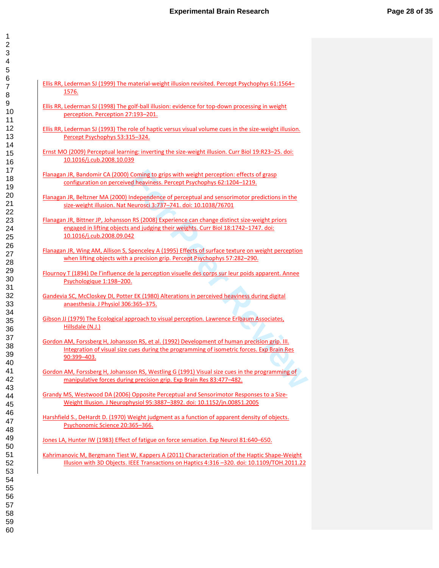| 1576.                                                                                                                                                                                                             |
|-------------------------------------------------------------------------------------------------------------------------------------------------------------------------------------------------------------------|
| Ellis RR, Lederman SJ (1998) The golf-ball illusion: evidence for top-down processing in weight<br>perception. Perception 27:193-201.                                                                             |
| Ellis RR, Lederman SJ (1993) The role of haptic versus visual volume cues in the size-weight illusion.<br>Percept Psychophys 53:315-324.                                                                          |
| Ernst MO (2009) Perceptual learning: inverting the size-weight illusion. Curr Biol 19:R23-25. doi:<br>10.1016/j.cub.2008.10.039                                                                                   |
| Flanagan JR, Bandomir CA (2000) Coming to grips with weight perception: effects of grasp<br>configuration on perceived heaviness. Percept Psychophys 62:1204-1219.                                                |
| Flanagan JR, Beltzner MA (2000) Independence of perceptual and sensorimotor predictions in the<br>size-weight illusion. Nat Neurosci 3:737-741. doi: 10.1038/76701                                                |
| Flanagan JR, Bittner JP, Johansson RS (2008) Experience can change distinct size-weight priors<br>engaged in lifting objects and judging their weights. Curr Biol 18:1742-1747. doi:<br>10.1016/j.cub.2008.09.042 |
| Flanagan JR, Wing AM, Allison S, Spenceley A (1995) Effects of surface texture on weight perception<br>when lifting objects with a precision grip. Percept Psychophys 57:282-290.                                 |
| Flournoy T (1894) De l'influence de la perception visuelle des corps sur leur poids apparent. Annee<br>Psychologique 1:198-200.                                                                                   |
| Gandevia SC, McCloskey DI, Potter EK (1980) Alterations in perceived heaviness during digital<br>anaesthesia. J Physiol 306:365-375.                                                                              |
| Gibson JJ (1979) The Ecological approach to visual perception. Lawrence Erlbaum Associates,<br>Hillsdale (N.J.)                                                                                                   |
| Gordon AM, Forssberg H, Johansson RS, et al. (1992) Development of human precision grip. III.<br>Integration of visual size cues during the programming of isometric forces. Exp Brain Res<br>90:399-403.         |
| Gordon AM, Forssberg H, Johansson RS, Westling G (1991) Visual size cues in the programming of                                                                                                                    |
| manipulative forces during precision grip. Exp Brain Res 83:477-482.                                                                                                                                              |
| Grandy MS, Westwood DA (2006) Opposite Perceptual and Sensorimotor Responses to a Size-<br>Weight Illusion. J Neurophysiol 95:3887-3892. doi: 10.1152/jn.00851.2005                                               |
| Harshfield S., DeHardt D. (1970) Weight judgment as a function of apparent density of objects.<br>Psychonomic Science 20:365-366.                                                                                 |
| Jones LA, Hunter IW (1983) Effect of fatigue on force sensation. Exp Neurol 81:640-650.                                                                                                                           |
| Kahrimanovic M, Bergmann Tiest W, Kappers A (2011) Characterization of the Haptic Shape-Weight<br>Illusion with 3D Objects. IEEE Transactions on Haptics 4:316 -320. doi: 10.1109/TOH.2011.22                     |
|                                                                                                                                                                                                                   |

60

123456789

 $\overline{\mathbf{7}}$  $\,8\,$  $\boldsymbol{9}$ 

 $\begin{array}{c} 3 \\ 4 \\ 5 \\ 6 \end{array}$ 

 $\mathbf 1$  $\overline{2}$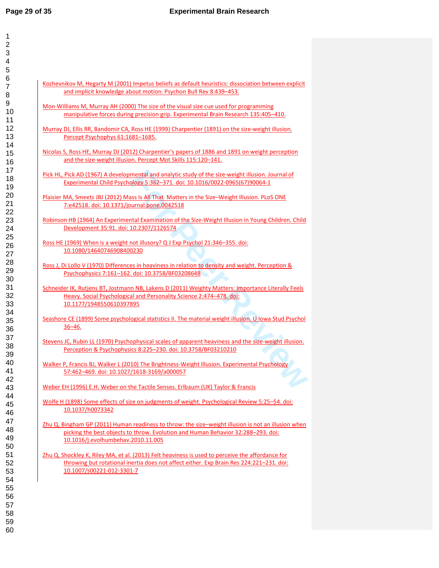| 1              |  |
|----------------|--|
| $\overline{c}$ |  |
|                |  |
| 3<br>4         |  |
|                |  |
| 5              |  |
| 6              |  |
| 7              |  |
| 8<br>9         |  |
|                |  |
| 10             |  |
|                |  |
|                |  |
|                |  |
|                |  |
|                |  |
|                |  |
|                |  |
|                |  |
|                |  |
|                |  |
|                |  |
|                |  |
|                |  |
|                |  |
|                |  |
|                |  |
|                |  |
|                |  |
|                |  |
|                |  |
|                |  |
|                |  |
|                |  |
|                |  |
|                |  |
|                |  |
| $\frac{33}{1}$ |  |
| 34<br>35       |  |
|                |  |
| 36<br>37<br>^  |  |
|                |  |
| 38             |  |
| 39             |  |
| 40             |  |
| 41             |  |
| 42             |  |
|                |  |
| 43             |  |
| 44             |  |
| 45             |  |
| 46             |  |
| 47             |  |
| 48             |  |
| 49             |  |
| 50             |  |
| 51             |  |
|                |  |
| -<br>52        |  |
| 53             |  |
| 54             |  |
| 55             |  |
| 56             |  |
| 57             |  |
| 58             |  |
| 59             |  |
|                |  |
| 60             |  |

| Kozhevnikov M, Hegarty M (2001) Impetus beliefs as default heuristics: dissociation between explicit |
|------------------------------------------------------------------------------------------------------|
| and implicit knowledge about motion. Psychon Bull Rev 8:439-453.                                     |
|                                                                                                      |
| Mon-Williams M, Murray AH (2000) The size of the visual size cue used for programming                |
| manipulative forces during precision grip. Experimental Brain Research 135:405-410.                  |
|                                                                                                      |

|                                  | Murray DJ, Ellis RR, Bandomir CA, Ross HE (1999) Charpentier (1891) on the size-weight illusion. |
|----------------------------------|--------------------------------------------------------------------------------------------------|
| Percept Psychophys 61:1681-1685. |                                                                                                  |

- Nicolas S, Ross HE, Murray DJ (2012) Charpentier's papers of 1886 and 1891 on weight perception and the size-weight illusion. Percept Mot Skills 115:120–141.
- Pick HL, Pick AD (1967) A developmental and analytic study of the size-weight illusion. Journal of Experimental Child Psychology 5:362–371. doi: 10.1016/0022-0965(67)90064-1
- Plaisier MA, Smeets JBJ (2012) Mass Is All That Matters in the Size-Weight Illusion. PLoS ONE 7:e42518. doi: 10.1371/journal.pone.0042518
- Robinson HB (1964) An Experimental Examination of the Size-Weight Illusion in Young Children. Child Development 35:91. doi: 10.2307/1126574
- Ross HE (1969) When is a weight not illusory? Q J Exp Psychol 21:346–355. doi: 10.1080/14640746908400230
- Ross J, Di Lollo V (1970) Differences in heaviness in relation to density and weight. Perception & Psychophysics 7:161–162. doi: 10.3758/BF03208648
- mental and analytic study of the size-weight illusion. Journal of<br>ology 5:362–371. doi: 10.1016/0022-0965(67)90064-1<br>ass Is All That Matters in the Size-Weight Illusion. PLoS ONE<br>purnal.pone.0042518<br>that Examination of the Schneider IK, Rutjens BT, Jostmann NB, Lakens D (2011) Weighty Matters: Importance Literally Feels Heavy. Social Psychological and Personality Science 2:474–478. doi: 10.1177/1948550610397895
- Seashore CE (1899) Some psychological statistics II. The material weight illusion. U Iowa Stud Psychol 36–46.
- Stevens JC, Rubin LL (1970) Psychophysical scales of apparent heaviness and the size-weight illusion. Perception & Psychophysics 8:225–230. doi: 10.3758/BF03210210
- Walker P, Francis BJ, Walker L (2010) The Brightness-Weight Illusion. Experimental Psychology 57:462–469. doi: 10.1027/1618-3169/a000057
- Weber EH (1996) E.H. Weber on the Tactile Senses. Erlbaum (UK) Taylor & Francis
- Wolfe H (1898) Some effects of size on judgments of weight. Psychological Review 5:25–54. doi: 10.1037/h0073342
- Zhu Q, Bingham GP (2011) Human readiness to throw: the size–weight illusion is not an illusion when picking the best objects to throw. Evolution and Human Behavior 32:288–293. doi: 10.1016/j.evolhumbehav.2010.11.005
- Zhu Q, Shockley K, Riley MA, et al. (2013) Felt heaviness is used to perceive the affordance for throwing but rotational inertia does not affect either. Exp Brain Res 224:221–231. doi: 10.1007/s00221-012-3301-7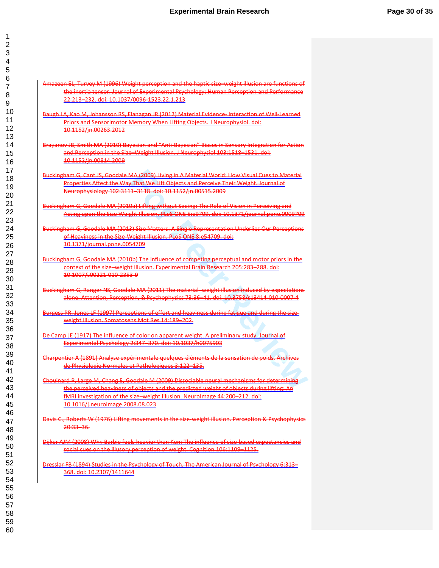# **Experimental Brain Research**  Page 30 of 35

| the inertia tensor. Journal of Experimental Psychology: Human Perception and Performance<br>Baugh LA, Kao M, Johansson RS, Flanagan JR (2012) Material Evidence-Interaction of Well-Learned<br>Priors and Sensorimotor Memory When Lifting Objects. J Neurophysiol. doi:<br>Brayanov JB, Smith MA (2010) Bayesian and "Anti-Bayesian" Biases in Sensory Integration for Action<br>and Perception in the Size-Weight Illusion. J Neurophysiol 103:1518-1531. doi:<br>Buckingham G, Cant JS, Goodale MA (2009) Living in A Material World: How Visual Cues to Material<br><b>Properties Affect the Way That We Lift Objects and Perceive Their Weight. Journal of</b><br>Neurophysiology 102:3111-3118. doi: 10.1152/jn.00515.2009 |
|----------------------------------------------------------------------------------------------------------------------------------------------------------------------------------------------------------------------------------------------------------------------------------------------------------------------------------------------------------------------------------------------------------------------------------------------------------------------------------------------------------------------------------------------------------------------------------------------------------------------------------------------------------------------------------------------------------------------------------|
|                                                                                                                                                                                                                                                                                                                                                                                                                                                                                                                                                                                                                                                                                                                                  |
|                                                                                                                                                                                                                                                                                                                                                                                                                                                                                                                                                                                                                                                                                                                                  |
|                                                                                                                                                                                                                                                                                                                                                                                                                                                                                                                                                                                                                                                                                                                                  |
|                                                                                                                                                                                                                                                                                                                                                                                                                                                                                                                                                                                                                                                                                                                                  |
|                                                                                                                                                                                                                                                                                                                                                                                                                                                                                                                                                                                                                                                                                                                                  |
|                                                                                                                                                                                                                                                                                                                                                                                                                                                                                                                                                                                                                                                                                                                                  |
|                                                                                                                                                                                                                                                                                                                                                                                                                                                                                                                                                                                                                                                                                                                                  |
|                                                                                                                                                                                                                                                                                                                                                                                                                                                                                                                                                                                                                                                                                                                                  |
|                                                                                                                                                                                                                                                                                                                                                                                                                                                                                                                                                                                                                                                                                                                                  |
|                                                                                                                                                                                                                                                                                                                                                                                                                                                                                                                                                                                                                                                                                                                                  |
| Buckingham G, Goodale MA (2010a) Lifting without Seeing: The Role of Vision in Perceiving and                                                                                                                                                                                                                                                                                                                                                                                                                                                                                                                                                                                                                                    |
| Acting upon the Size Weight Illusion. PLoS ONE 5:e9709. doi: 10.1371/journal.pone.0009709                                                                                                                                                                                                                                                                                                                                                                                                                                                                                                                                                                                                                                        |
| <b>Buckingham G, Goodale MA (2013) Size Matters: A Single Representation Underlies Our Perceptions</b>                                                                                                                                                                                                                                                                                                                                                                                                                                                                                                                                                                                                                           |
| of Heaviness in the Size-Weight Illusion. PLoS ONE 8:e54709. doi:                                                                                                                                                                                                                                                                                                                                                                                                                                                                                                                                                                                                                                                                |
|                                                                                                                                                                                                                                                                                                                                                                                                                                                                                                                                                                                                                                                                                                                                  |
| Buckingham G, Goodale MA (2010b) The influence of competing perceptual and motor priors in the                                                                                                                                                                                                                                                                                                                                                                                                                                                                                                                                                                                                                                   |
| context of the size-weight illusion. Experimental Brain Research 205:283-288. doi:                                                                                                                                                                                                                                                                                                                                                                                                                                                                                                                                                                                                                                               |
| alone. Attention, Perception, & Psychophysics 73:36-41, doi: 10.3758/s13414-010-0007-4                                                                                                                                                                                                                                                                                                                                                                                                                                                                                                                                                                                                                                           |
| Burgess PR, Jones LF (1997) Perceptions of effort and heaviness during fatigue and during the size-<br>weight illusion. Somatosens Mot Res 14:189-202.                                                                                                                                                                                                                                                                                                                                                                                                                                                                                                                                                                           |
| De Camp JE (1917) The influence of color on apparent weight. A preliminary study. Journal of                                                                                                                                                                                                                                                                                                                                                                                                                                                                                                                                                                                                                                     |
| Experimental Psychology 2:347-370. doi: 10.1037/h0075903                                                                                                                                                                                                                                                                                                                                                                                                                                                                                                                                                                                                                                                                         |
| Charpentier A (1891) Analyse expérimentale quelques éléments de la sensation de poids. Archives                                                                                                                                                                                                                                                                                                                                                                                                                                                                                                                                                                                                                                  |
| de Physiologie Normales et Pathologiques 3:122-135.                                                                                                                                                                                                                                                                                                                                                                                                                                                                                                                                                                                                                                                                              |
| Chouinard P, Large M, Chang E, Goodale M (2009) Dissociable neural mechanisms for determining                                                                                                                                                                                                                                                                                                                                                                                                                                                                                                                                                                                                                                    |
| parcolunal hospiness of objects and the predicted weight of objects during lifting: An                                                                                                                                                                                                                                                                                                                                                                                                                                                                                                                                                                                                                                           |
| fMRI investigation of the size-weight illusion. NeuroImage 44:200-212. doi:                                                                                                                                                                                                                                                                                                                                                                                                                                                                                                                                                                                                                                                      |
|                                                                                                                                                                                                                                                                                                                                                                                                                                                                                                                                                                                                                                                                                                                                  |
| Davis C., Roberts W (1976) Lifting movements in the size-weight illusion. Perception & Psychophysics                                                                                                                                                                                                                                                                                                                                                                                                                                                                                                                                                                                                                             |
|                                                                                                                                                                                                                                                                                                                                                                                                                                                                                                                                                                                                                                                                                                                                  |
| <u>Dijker AJM (2008) Why Barbie feels heavier than Ken: The influence of size-based expectancies and </u>                                                                                                                                                                                                                                                                                                                                                                                                                                                                                                                                                                                                                        |
| social cues on the illusory perception of weight. Cognition 106:1109-1125.                                                                                                                                                                                                                                                                                                                                                                                                                                                                                                                                                                                                                                                       |
| Dresslar FB (1894) Studies in the Psychology of Touch. The American Journal of Psychology 6:313-                                                                                                                                                                                                                                                                                                                                                                                                                                                                                                                                                                                                                                 |
| Buckingham G, Ranger NS, Goodale MA (2011) The material weight illusion induced by expectations                                                                                                                                                                                                                                                                                                                                                                                                                                                                                                                                                                                                                                  |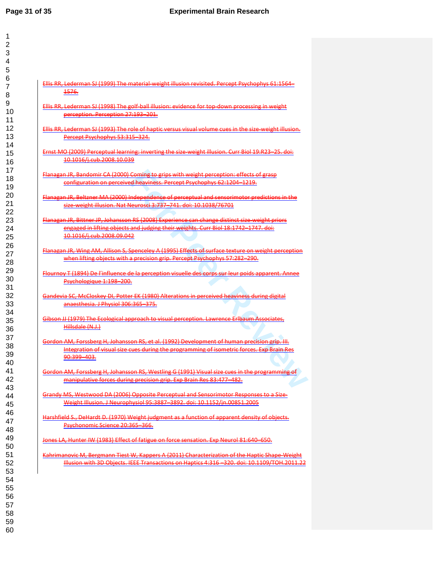| Ellis RR, Lederman SJ (1999) The material-weight illusion revisited. Percept Psychophys 61:1564-          |
|-----------------------------------------------------------------------------------------------------------|
| <u> 1576.</u>                                                                                             |
|                                                                                                           |
| Ellis RR. Lederman SJ (1998) The golf-ball illusion: evidence for top-down processing in weight           |
| perception. Perception 27:193-201.                                                                        |
| Ellis RR, Lederman SJ (1993) The role of haptic versus visual volume cues in the size-weight illusion.    |
| Percept Psychophys 53:315-324.                                                                            |
|                                                                                                           |
| <b>Ernst MO (2009) Perceptual learning: inverting the size-weight illusion. Curr Biol 19:R23–25. doi:</b> |
| 10.1016/j.cub.2008.10.039                                                                                 |
| Flanagan JR, Bandomir CA (2000) Coming to grips with weight perception: effects of grasp                  |
| configuration on perceived heaviness. Percept Psychophys 62:1204-1219.                                    |
|                                                                                                           |
| Flanagan JR, Beltzner MA (2000) Independence of perceptual and sensorimotor predictions in the            |
| size-weight illusion. Nat Neurosci 3:737-741. doi: 10.1038/76701                                          |
| Flanagan JR, Bittner JP, Johansson RS (2008) Experience can change distinct size-weight priors            |
| engaged in lifting objects and judging their weights. Curr Biol 18:1742-1747, doi:                        |
| 10.1016/j.cub.2008.09.042                                                                                 |
|                                                                                                           |
| Flanagan JR, Wing AM, Allison S, Spenceley A (1995) Effects of surface texture on weight perception       |
| when lifting objects with a precision grip. Percept Psychophys 57:282-290.                                |
| Flournoy T (1894) De l'influence de la perception visuelle des corps sur leur poids apparent. Annee       |
| Psychologique 1:198-200.                                                                                  |
|                                                                                                           |
| Gandevia SC, McCloskey DI, Potter EK (1980) Alterations in perceived heaviness during digital             |
| anaesthesia. J Physiol 306:365-375.                                                                       |
|                                                                                                           |
| Gibson JJ (1979) The Ecological approach to visual perception. Lawrence Erlbaum Associates,               |
| <del>Hillsdale (N.J.)</del>                                                                               |
| Gordon AM, Forssberg H, Johansson RS, et al. (1992) Development of human precision grip. III.             |
| Integration of visual size cues during the programming of isometric forces. Exp Brain Res                 |
| <del>90:399-403.</del>                                                                                    |
| Gordon AM, Forssberg H. Johansson RS, Westling G (1991) Visual size cues in the programming of            |
| manipulative forces during precision grip. Exp Brain Res 83:477-482.                                      |
|                                                                                                           |
| Grandy MS, Westwood DA (2006) Opposite Perceptual and Sensorimotor Responses to a Size-                   |
| Weight Illusion. J Neurophysiol 95:3887-3892. doi: 10.1152/in.00851.2005                                  |
|                                                                                                           |
| Harshfield S., DeHardt D. (1970) Weight judgment as a function of apparent density of objects.            |
| Psychonomic Science 20:365-366.                                                                           |
| Jones LA, Hunter IW (1983) Effect of fatigue on force sensation. Exp Neurol 81:640-650.                   |
|                                                                                                           |
| Kahrimanovic M. Bergmann Tiest W. Kappers A (2011) Characterization of the Haptic Shape-Weight            |
| Illusion with 3D Objects. IEEE Transactions on Haptics 4:316-320. doi: 10.1109/TOH.2011.2                 |
|                                                                                                           |
|                                                                                                           |
|                                                                                                           |
|                                                                                                           |
|                                                                                                           |
|                                                                                                           |
|                                                                                                           |

| agan JR, Bandomir CA (2000) Coming to grips with weight perception: effects of grasp                      |
|-----------------------------------------------------------------------------------------------------------|
| configuration on perceived heaviness. Percept Psychophys 62:1204-1219.                                    |
|                                                                                                           |
| <del>1989 namic contrart MA (2000) Independence of perceptual and sensorimotor predictions in the 1</del> |
| size-weight illusion. Nat Neurosci 3:737-741. doi: 10.1038/76701                                          |
|                                                                                                           |
| agan JR, Bittner JP, Johansson RS (2008) Experience can change distinct size-weight priors                |
| engaged in lifting objects and judging their weights. Curr Biol 18:1742-1747. doi:                        |
| 10.1016/j.cub.2008.09.042                                                                                 |
|                                                                                                           |
| agan JR, Wing AM, Allison S, Spenceley A (1995) Effects of surface texture on weight perception           |
| when lifting objects with a precision grip. Percept Psychophys 57:282-290.                                |
|                                                                                                           |
| <u>rrnoy T (1894) De l'influence de la perception visuelle des corps sur leur poids apparent. Annee</u>   |
| Psychologique 1:198-200.                                                                                  |
|                                                                                                           |
| <u>ıdevia SC, McCloskey DI, Potter EK (1980) Alterations in perceived heaviness during digital</u>        |
| anaesthesia. J Physiol 306:365-375.                                                                       |
|                                                                                                           |
| son JJ (1979) The Ecological approach to visual perception. Lawrence Erlbaum Associates,                  |
| <del>Hillsdale (N.J.)</del>                                                                               |
|                                                                                                           |
| don AM, Forssberg H, Johansson RS, et al. (1992) Development of human precision grip. III.                |
| Integration of visual size cues during the programming of isometric forces. Exp Brain Res                 |
| <del>90:399-403.</del>                                                                                    |
|                                                                                                           |
| don AM, Forssberg H, Johansson RS, Westling G (1991) Visual size cues in the programming of               |
| manipulative forces during precision grip. Exp Brain Res 83:477-482.                                      |
|                                                                                                           |
| ndy MS, Westwood DA (2006) Opposite Perceptual and Sensorimotor Responses to a Size-                      |
| Weight Illusion. J Neurophysiol 95:3887-3892. doi: 10.1152/jn.00851.2005                                  |
|                                                                                                           |
| shfield S., DeHardt D. (1970) Weight judgment as a function of apparent density of objects.               |
| Psychonomic Science 20:365-366.                                                                           |
|                                                                                                           |
| es LA, Hunter IW (1983) Effect of fatigue on force sensation. Exp Neurol 81:640–650.                      |
|                                                                                                           |
| rimanovic M, Bergmann Tiest W, Kappers A (2011) Characterization of the Haptic Shape-Weight               |
| Hlusion with 3D Objects. IEEE Transactions on Haptics 4:316-320. doi: 10.1109/TOH.2011.22                 |
|                                                                                                           |
|                                                                                                           |
|                                                                                                           |
|                                                                                                           |
|                                                                                                           |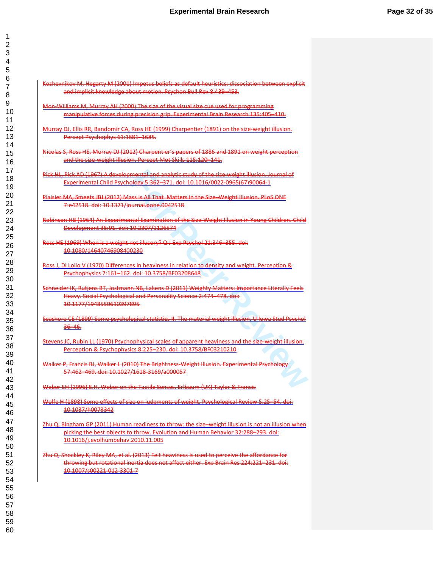# **Experimental Brain Research**  Page 32 of 35

| 1                                        |
|------------------------------------------|
| Ž                                        |
|                                          |
|                                          |
|                                          |
|                                          |
|                                          |
|                                          |
|                                          |
|                                          |
|                                          |
|                                          |
|                                          |
|                                          |
|                                          |
|                                          |
|                                          |
|                                          |
| - 34567891111111111222222222233333333333 |
|                                          |
|                                          |
|                                          |
|                                          |
|                                          |
|                                          |
|                                          |
|                                          |
|                                          |
|                                          |
|                                          |
|                                          |
|                                          |
|                                          |
|                                          |
|                                          |
|                                          |
|                                          |
|                                          |
|                                          |
|                                          |
|                                          |
| 40                                       |
| 1                                        |
| $\ddot{4}$                               |
| 4:                                       |
| 43<br>Š                                  |
| 44                                       |
| 45                                       |
| 46                                       |
| 47                                       |
| 48                                       |
| 49                                       |
| 50                                       |
| 51                                       |
| -<br>52                                  |
| E<br>$\overline{\mathbf{3}}$             |
| 54                                       |
| 55                                       |
| 56                                       |
| ć                                        |
| 57                                       |
| 58                                       |
| 59                                       |
| 60                                       |

| Kozhevnikov M, Hegarty M (2001) Impetus beliefs as default heuristics: dissociation between explicit |
|------------------------------------------------------------------------------------------------------|
| and implicit knowledge about motion. Psychon Bull Rev 8:439-453.                                     |
|                                                                                                      |

| Mon-Williams M, Murray AH (2000) The size of the visual size cue used for programming |  |
|---------------------------------------------------------------------------------------|--|
|                                                                                       |  |
|                                                                                       |  |
| manipulative forces during precision grip. Experimental Brain Research 135:405-410.   |  |
|                                                                                       |  |

|  |                                                                                |  |  |  |  |  | Murray DJ, Ellic RR, Randomir CA, Ross HE (1999) Charnentier (1891) on the size-weight illusion<br>ividitay DJ, Ellis RR, Bahuomii CA, ROSS HE (1999) Charpentier (1891) On the size weight illusion. |
|--|--------------------------------------------------------------------------------|--|--|--|--|--|-------------------------------------------------------------------------------------------------------------------------------------------------------------------------------------------------------|
|  | Dercent Deuchanhus 61:1681-1685<br><del>reitept rsychophys 01.1001 1003.</del> |  |  |  |  |  |                                                                                                                                                                                                       |

- Nicolas S, Ross HE, Murray DJ (2012) Charpentier's papers of 1886 and 1891 on weight perception and the size-weight illusion. Percept Mot Skills 115:120–141.
- Pick HL, Pick AD (1967) A developmental and analytic study of the size-weight illusion. Journal of Experimental Child Psychology 5:362–371. doi: 10.1016/0022-0965(67)90064-1
- Plaisier MA, Smeets JBJ (2012) Mass Is All That Matters in the Size-Weight Illusion. PLoS ONE 7:e42518. doi: 10.1371/journal.pone.0042518
- Robinson HB (1964) An Experimental Examination of the Size-Weight Illusion in Young Children. Child Development 35:91. doi: 10.2307/1126574
- Ross HE (1969) When is a weight not illusory? Q J Exp Psychol 21:346–355. doi: 10.1080/14640746908400230
- Ross J, Di Lollo V (1970) Differences in heaviness in relation to density and weight. Perception & Psychophysics 7:161–162. doi: 10.3758/BF03208648
- mental and analytic study of the size weight illusion. Journal of<br>blogy 5:362–371. doi: 10.1016/0022-0965(67)90064-1<br>pss is All That Matters in the Size-Weight Illusion. PLoS ONE<br>purnal pone.0042518<br>atal Examination of the Schneider IK, Rutjens BT, Jostmann NB, Lakens D (2011) Weighty Matters: Importance Literally Feels Heavy. Social Psychological and Personality Science 2:474–478. doi: 10.1177/1948550610397895
- Seashore CE (1899) Some psychological statistics II. The material weight illusion. U Iowa Stud Psychol 36–46.
- Stevens JC, Rubin LL (1970) Psychophysical scales of apparent heaviness and the size-weight illusion. Perception & Psychophysics 8:225–230. doi: 10.3758/BF03210210
- Walker P, Francis BJ, Walker L (2010) The Brightness-Weight Illusion. Experimental Psychology 57:462–469. doi: 10.1027/1618-3169/a000057
- Weber EH (1996) E.H. Weber on the Tactile Senses. Erlbaum (UK) Taylor & Francis
- Wolfe H (1898) Some effects of size on judgments of weight. Psychological Review 5:25–54. doi: 10.1037/h0073342
- Zhu Q, Bingham GP (2011) Human readiness to throw: the size–weight illusion is not an illusion when picking the best objects to throw. Evolution and Human Behavior 32:288–293. doi: 10.1016/j.evolhumbehav.2010.11.005
- Zhu Q, Shockley K, Riley MA, et al. (2013) Felt heaviness is used to perceive the affordance for throwing but rotational inertia does not affect either. Exp Brain Res 224:221–231. doi: 10.1007/s00221-012-3301-7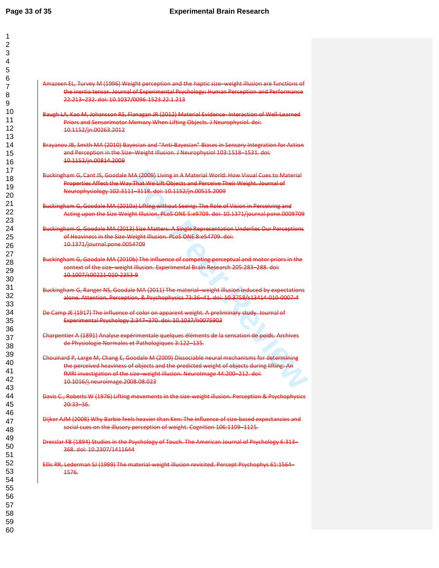$\mathbf{1}$  $\overline{2}$ 3  $\overline{\mathbf{4}}$  $\overline{5}$ 

# **Page 33 of 35 Experimental Brain Research**

| Amazeen EL, Turvey M (1996) Weight perception and the haptic size-weight illusion are functions of<br>the inertia tensor. Journal of Experimental Psychology: Human Perception and Performance |
|------------------------------------------------------------------------------------------------------------------------------------------------------------------------------------------------|
| 22:213-232. doi: 10.1037/0096-1523.22.1.213                                                                                                                                                    |
| Baugh LA, Kao M, Johansson RS, Flanagan JR (2012) Material Evidence - Interaction of Well-Learned                                                                                              |
| Priors and Sensorimotor Memory When Lifting Objects. J Neurophysiol. doi:<br>10.1152/jn.00263.2012                                                                                             |
| Brayanov JB, Smith MA (2010) Bayesian and "Anti Bayesian" Biases in Sensory Integration for Action<br>and Perception in the Size-Weight Illusion. J Neurophysiol 103:1518-1531. doi:           |
| 10.1152/jn.00814.2009                                                                                                                                                                          |
| Buckingham G, Cant JS, Goodale MA (2009) Living in A Material World: How Visual Cues to Material<br>Properties Affect the Way That We Lift Objects and Perceive Their Weight. Journal of       |
| Neurophysiology 102:3111-3118. doi: 10.1152/jn.00515.2009                                                                                                                                      |
| Buckingham G, Goodale MA (2010a) Lifting without Seeing: The Role of Vision in Perceiving and<br>Acting upon the Size Weight Illusion. PLoS ONE 5:e9709. doi: 10.1371/journal.pone.0009709     |
| Buckingham G, Goodale MA (2013) Size Matters: A Single Representation Underlies Our Perceptions<br>of Heaviness in the Size-Weight Illusion. PLoS ONE 8:e54709. doi:                           |
| 10.1371/journal.pone.0054709                                                                                                                                                                   |
| Buckingham G, Goodale MA (2010b) The influence of competing perceptual and motor priors in the<br>context of the size-weight illusion. Experimental Brain Research 205:283-288. doi:           |
| <del>10.1007/s00221-010-2353-9</del>                                                                                                                                                           |
| Buckingham G, Ranger NS, Goodale MA (2011) The material weight illusion induced by expectations<br>alone. Attention, Perception, & Psychophysics 73:36-41. doi: 10.3758/s13414-010-0007-4      |
| De Camp JE (1917) The influence of color on apparent weight. A preliminary study. Journal of<br>Experimental Psychology 2:347-370. doi: 10.1037/h0075903                                       |
| Charpentier A (1891) Analyse expérimentale quelques éléments de la sensation de poids. Archives<br>de Physiologie Normales et Pathologiques 3:122-135.                                         |
| Chouinard P, Large M, Chang E, Goodale M (2009) Dissociable neural mechanisms for determining<br>the perceived heaviness of objects and the predicted weight of objects during lifting: An     |
| fMRI investigation of the size-weight illusion. NeuroImage 44:200-212. doi:<br>10.1016/j.neuroimage.2008.08.023                                                                                |
|                                                                                                                                                                                                |
| Davis C., Roberts W (1976) Lifting movements in the size-weight illusion. Perception & Psychophysics<br>$20:33 - 36.$                                                                          |
| Dijker AJM (2008) Why Barbie feels heavier than Ken: The influence of size-based expectancies and                                                                                              |
| social cues on the illusory perception of weight. Cognition 106:1109-1125.                                                                                                                     |
| Dresslar FB (1894) Studies in the Psychology of Touch. The American Journal of Psychology 6:313-<br>368. doi: 10.2307/1411644                                                                  |
| Ellis RR, Lederman SJ (1999) The material-weight illusion revisited. Percept Psychophys 61:1564-<br><del>1576.</del>                                                                           |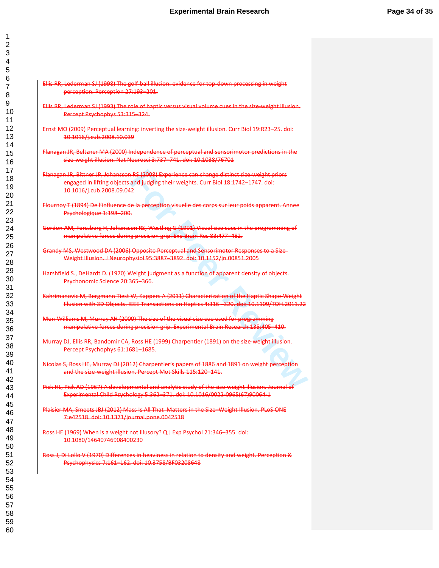| 1                                        |
|------------------------------------------|
|                                          |
|                                          |
|                                          |
|                                          |
|                                          |
|                                          |
|                                          |
|                                          |
|                                          |
|                                          |
|                                          |
|                                          |
|                                          |
|                                          |
|                                          |
|                                          |
|                                          |
|                                          |
|                                          |
|                                          |
|                                          |
|                                          |
|                                          |
|                                          |
| ∠ 34567891111111111222222222233333333333 |
|                                          |
|                                          |
|                                          |
|                                          |
|                                          |
|                                          |
|                                          |
|                                          |
|                                          |
|                                          |
|                                          |
|                                          |
|                                          |
|                                          |
|                                          |
|                                          |
|                                          |
| --<br>39                                 |
| 40                                       |
| 41                                       |
| 42                                       |
|                                          |
| 43                                       |
| 44                                       |
| 45                                       |
| 46                                       |
| 47                                       |
| 48                                       |
| 49                                       |
| 50                                       |
|                                          |
| 5<br>1                                   |
| 5<br>2                                   |
| 53<br>ξ                                  |
| 54                                       |
| 55                                       |
| 56                                       |
|                                          |
| -<br>57<br>58                            |
| ξ                                        |
| 59                                       |
| 60                                       |

| Ellis RR, Lederman SJ (1998) The golf-ball illusion: evidence for top-down processing in weight | perception. Perception 27:193-201.                                                                                                                                                                                |
|-------------------------------------------------------------------------------------------------|-------------------------------------------------------------------------------------------------------------------------------------------------------------------------------------------------------------------|
|                                                                                                 | Ellis RR, Lederman SJ (1993) The role of haptic versus visual volume cues in the size-weight illusion.<br>Percept Psychophys 53:315-324.                                                                          |
|                                                                                                 | Ernst MO (2009) Perceptual learning: inverting the size-weight illusion. Curr Biol 19:R23-25. doi:<br>10.1016/j.cub.2008.10.039                                                                                   |
|                                                                                                 | Flanagan JR, Beltzner MA (2000) Independence of perceptual and sensorimotor predictions in the<br>size-weight illusion. Nat Neurosci 3:737-741. doi: 10.1038/76701                                                |
|                                                                                                 | Flanagan JR, Bittner JP, Johansson RS (2008) Experience can change distinct size-weight priors<br>engaged in lifting objects and judging their weights. Curr Biol 18:1742-1747. doi:<br>10.1016/i.cub.2008.09.042 |
|                                                                                                 | Flournoy T (1894) De l'influence de la perception visuelle des corps sur leur poids apparent. Annee<br>Psychologique 1:198-200.                                                                                   |
|                                                                                                 | Gordon AM, Forssberg H, Johansson RS, Westling G (1991) Visual size cues in the programming of<br>manipulative forces during precision grip. Exp Brain Res 83:477-482.                                            |
|                                                                                                 | Grandy MS, Westwood DA (2006) Opposite Perceptual and Sensorimotor Responses to a Size-<br>Weight Illusion. J Neurophysiol 95:3887-3892. doi: 10.1152/jn.00851.2005                                               |
|                                                                                                 | Harshfield S., DeHardt D. (1970) Weight judgment as a function of apparent density of objects.<br>Psychonomic Science 20:365-366.                                                                                 |
|                                                                                                 | Kahrimanovic M, Bergmann Tiest W, Kappers A (2011) Characterization of the Haptic Shape-Weight<br>Illusion with 3D Objects. IEEE Transactions on Haptics 4:316-320. doi: 10.1109/TOH.2011.22                      |
|                                                                                                 | Mon-Williams M, Murray AH (2000) The size of the visual size cue used for programming<br>manipulative forces during precision grip. Experimental Brain Research 135:405-410.                                      |
|                                                                                                 | Murray DJ, Ellis RR, Bandomir CA, Ross HE (1999) Charpentier (1891) on the size-weight illusion.<br>Percept Psychophys 61:1681-1685.                                                                              |
|                                                                                                 | Nicolas S, Ross HE, Murray DJ (2012) Charpentier's papers of 1886 and 1891 on weight perception<br>and the size-weight illusion. Percept Mot Skills 115:120-141.                                                  |
|                                                                                                 | Pick HL, Pick AD (1967) A developmental and analytic study of the size-weight illusion. Journal of<br>Experimental Child Psychology 5:362-371. doi: 10.1016/0022 0965(67)90064-1                                  |
|                                                                                                 | Plaisier MA, Smeets JBJ (2012) Mass Is All That Matters in the Size-Weight Illusion. PLoS ONE<br>7:e42518. doi: 10.1371/journal.pone.0042518                                                                      |
|                                                                                                 | Ross HE (1969) When is a weight not illusory? Q J Exp Psychol 21:346-355. doi:<br>10.1080/14640746908400230                                                                                                       |
|                                                                                                 | Ross J, Di Lollo V (1970) Differences in heaviness in relation to density and weight. Perception &<br>Psychophysics 7:161-162. doi: 10.3758/BF03208648                                                            |